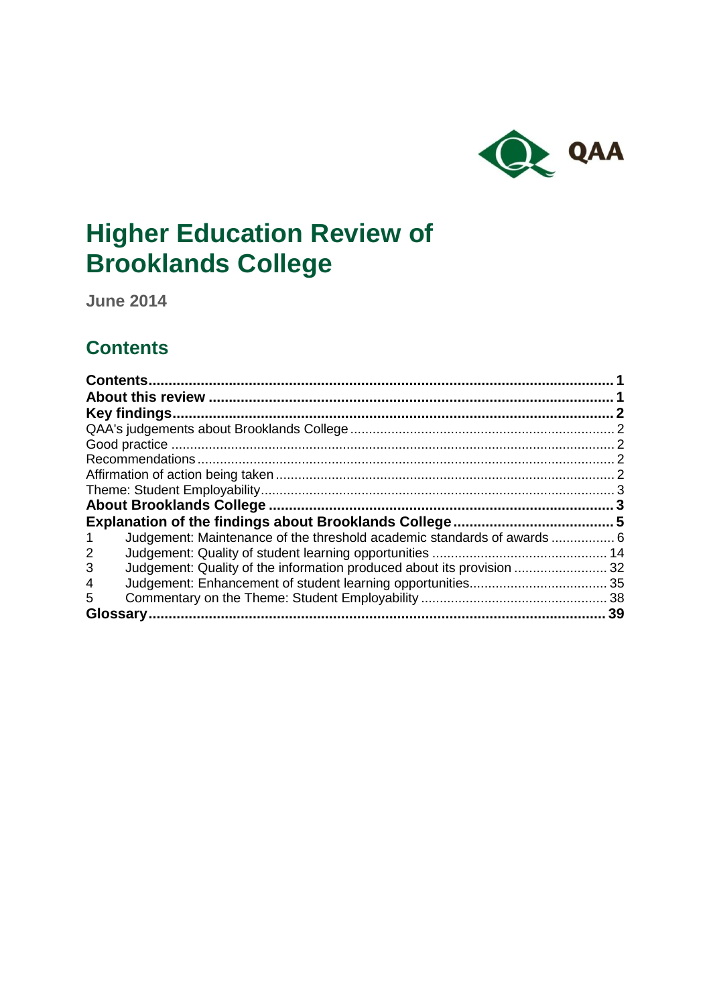

# **Higher Education Review of Brooklands College**

**June 2014**

## <span id="page-0-0"></span>**Contents**

| Key findings.<br>2                                                         |
|----------------------------------------------------------------------------|
|                                                                            |
|                                                                            |
|                                                                            |
|                                                                            |
|                                                                            |
|                                                                            |
|                                                                            |
|                                                                            |
|                                                                            |
| Judgement: Maintenance of the threshold academic standards of awards  6    |
| 2                                                                          |
| Judgement: Quality of the information produced about its provision 32<br>3 |
| 4                                                                          |
| 5                                                                          |
| 39<br>Glossary.                                                            |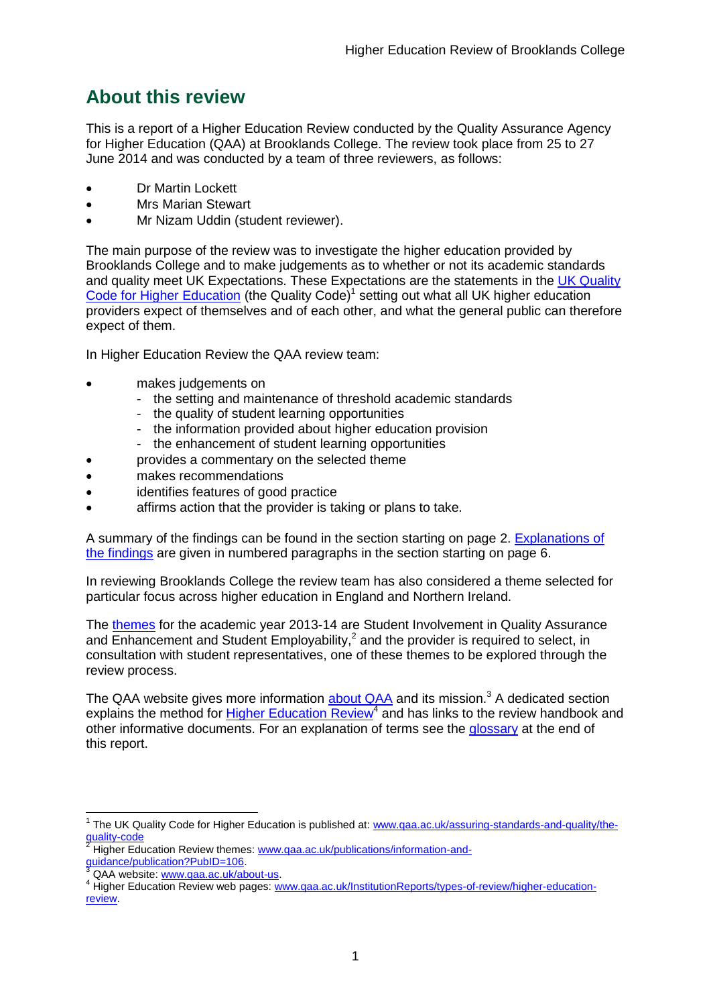## <span id="page-1-0"></span>**About this review**

This is a report of a Higher Education Review conducted by the Quality Assurance Agency for Higher Education (QAA) at Brooklands College. The review took place from 25 to 27 June 2014 and was conducted by a team of three reviewers, as follows:

- Dr Martin Lockett
- Mrs Marian Stewart
- Mr Nizam Uddin (student reviewer).

The main purpose of the review was to investigate the higher education provided by Brooklands College and to make judgements as to whether or not its academic standards and quality meet UK Expectations. These Expectations are the statements in the UK Quality [Code for Higher Education](http://www.qaa.ac.uk/assuring-standards-and-quality/the-quality-code) (the Quality Code)<sup>1</sup> setting out what all UK higher education [providers](http://newlive.qaa.ac.uk/AboutUs/glossary/Pages/glossary-h.aspx#h2.1) expect of themselves and of each other, and what the general public can therefore expect of them.

In Higher Education Review the QAA review team:

- makes judgements on
	- the setting and maintenance of threshold academic standards
	- the quality of student learning opportunities
	- the information provided about higher education provision
	- the enhancement of student learning opportunities
	- provides a commentary on the selected theme
- makes recommendations
- identifies features of good practice
- affirms action that the provider is taking or plans to take.

A summary of the findings can be found in the section starting on page 2. [Explanations of](#page-5-0)  [the findings](#page-5-0) are given in numbered paragraphs in the section starting on page 6.

In reviewing Brooklands College the review team has also considered a theme selected for particular focus across higher education in England and Northern Ireland.

The [themes](http://www.qaa.ac.uk/publications/information-and-guidance/publication?PubID=106) for the academic year 2013-14 are Student Involvement in Quality Assurance and Enhancement and Student Employability, $^2$  and the provider is required to select, in consultation with student representatives, one of these themes to be explored through the review process.

The QAA website gives more information  $\frac{\text{about QAA}}{\text{A}}$  and its mission.<sup>3</sup> A dedicated section explains the method for **Higher Education Review<sup>4</sup>** and has links to the review handbook and other informative documents. For an explanation of terms see the [glossary](#page-39-0) at the end of this report.

 $\overline{1}$ 

<sup>&</sup>lt;sup>1</sup> The UK Quality Code for Higher Education is published at: [www.qaa.ac.uk/assuring-standards-and-quality/the](http://www.qaa.ac.uk/assuring-standards-and-quality/the-quality-code)[quality-code](http://www.qaa.ac.uk/assuring-standards-and-quality/the-quality-code)

<sup>2</sup> Higher Education Review themes: [www.qaa.ac.uk/publications/information-and](http://www.qaa.ac.uk/publications/information-and-guidance/publication?PubID=106)[guidance/publication?PubID=106.](http://www.qaa.ac.uk/publications/information-and-guidance/publication?PubID=106)

<sup>&</sup>lt;sup>3</sup> QAA website: [www.qaa.ac.uk/about-us.](http://www.qaa.ac.uk/about-us)

<sup>4</sup> Higher Education Review web pages: [www.qaa.ac.uk/InstitutionReports/types-of-review/higher-education](http://www.qaa.ac.uk/InstitutionReports/types-of-review/higher-education-review)[review.](http://www.qaa.ac.uk/InstitutionReports/types-of-review/higher-education-review)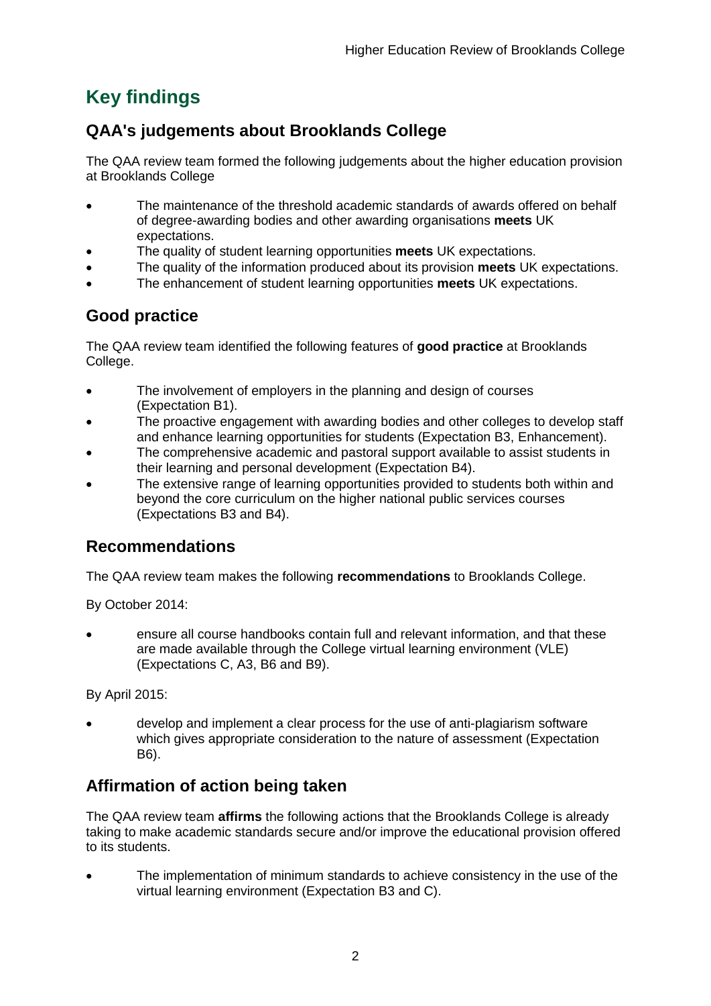## <span id="page-2-0"></span>**Key findings**

## <span id="page-2-1"></span>**QAA's judgements about Brooklands College**

The QAA review team formed the following judgements about the higher education provision at Brooklands College

- The maintenance of the threshold academic standards of awards offered on behalf of degree-awarding bodies and other awarding organisations **meets** UK expectations.
- The quality of student learning opportunities **meets** UK expectations.
- The quality of the information produced about its provision **meets** UK expectations.
- The enhancement of student learning opportunities **meets** UK expectations.

## <span id="page-2-2"></span>**Good practice**

The QAA review team identified the following features of **good practice** at Brooklands College.

- The involvement of employers in the planning and design of courses (Expectation B1).
- The proactive engagement with awarding bodies and other colleges to develop staff and enhance learning opportunities for students (Expectation B3, Enhancement).
- The comprehensive academic and pastoral support available to assist students in their learning and personal development (Expectation B4).
- The extensive range of learning opportunities provided to students both within and beyond the core curriculum on the higher national public services courses (Expectations B3 and B4).

## <span id="page-2-3"></span>**Recommendations**

The QAA review team makes the following **recommendations** to Brooklands College.

By October 2014:

 ensure all course handbooks contain full and relevant information, and that these are made available through the College virtual learning environment (VLE) (Expectations C, A3, B6 and B9).

By April 2015:

 develop and implement a clear process for the use of anti-plagiarism software which gives appropriate consideration to the nature of assessment (Expectation B6).

## <span id="page-2-4"></span>**Affirmation of action being taken**

The QAA review team **affirms** the following actions that the Brooklands College is already taking to make academic standards secure and/or improve the educational provision offered to its students.

 The implementation of minimum standards to achieve consistency in the use of the virtual learning environment (Expectation B3 and C).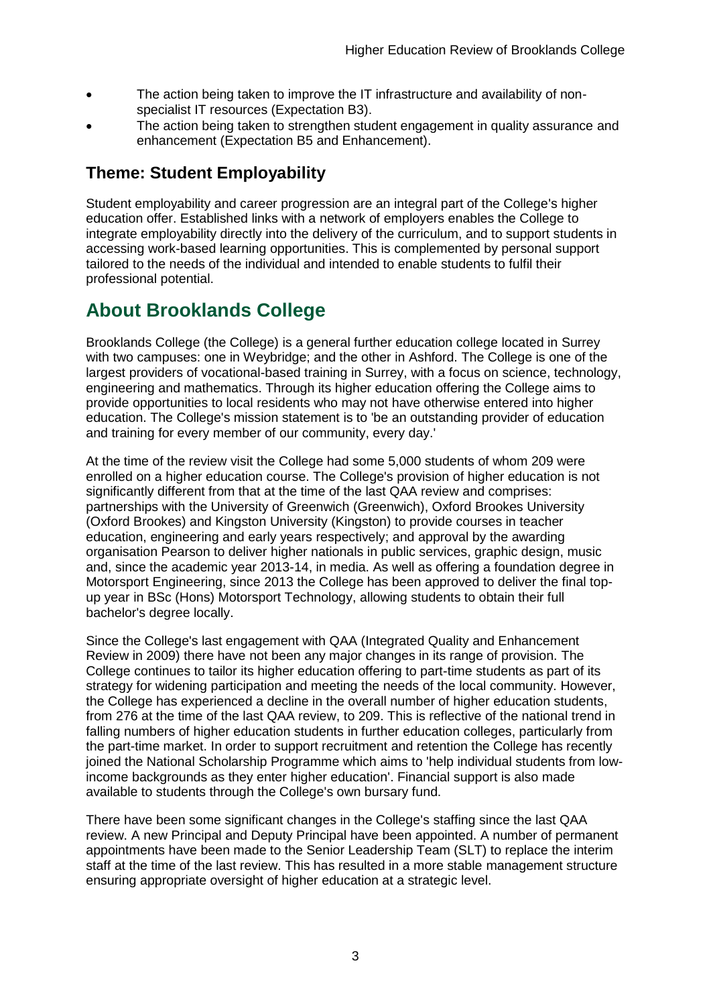- The action being taken to improve the IT infrastructure and availability of nonspecialist IT resources (Expectation B3).
- The action being taken to strengthen student engagement in quality assurance and enhancement (Expectation B5 and Enhancement).

## <span id="page-3-0"></span>**Theme: Student Employability**

Student employability and career progression are an integral part of the College's higher education offer. Established links with a network of employers enables the College to integrate employability directly into the delivery of the curriculum, and to support students in accessing work-based learning opportunities. This is complemented by personal support tailored to the needs of the individual and intended to enable students to fulfil their professional potential.

## <span id="page-3-1"></span>**About Brooklands College**

Brooklands College (the College) is a general further education college located in Surrey with two campuses: one in Weybridge; and the other in Ashford. The College is one of the largest providers of vocational-based training in Surrey, with a focus on science, technology, engineering and mathematics. Through its higher education offering the College aims to provide opportunities to local residents who may not have otherwise entered into higher education. The College's mission statement is to 'be an outstanding provider of education and training for every member of our community, every day.'

At the time of the review visit the College had some 5,000 students of whom 209 were enrolled on a higher education course. The College's provision of higher education is not significantly different from that at the time of the last QAA review and comprises: partnerships with the University of Greenwich (Greenwich), Oxford Brookes University (Oxford Brookes) and Kingston University (Kingston) to provide courses in teacher education, engineering and early years respectively; and approval by the awarding organisation Pearson to deliver higher nationals in public services, graphic design, music and, since the academic year 2013-14, in media. As well as offering a foundation degree in Motorsport Engineering, since 2013 the College has been approved to deliver the final topup year in BSc (Hons) Motorsport Technology, allowing students to obtain their full bachelor's degree locally.

Since the College's last engagement with QAA (Integrated Quality and Enhancement Review in 2009) there have not been any major changes in its range of provision. The College continues to tailor its higher education offering to part-time students as part of its strategy for widening participation and meeting the needs of the local community. However, the College has experienced a decline in the overall number of higher education students, from 276 at the time of the last QAA review, to 209. This is reflective of the national trend in falling numbers of higher education students in further education colleges, particularly from the part-time market. In order to support recruitment and retention the College has recently joined the National Scholarship Programme which aims to 'help individual students from lowincome backgrounds as they enter higher education'. Financial support is also made available to students through the College's own bursary fund.

There have been some significant changes in the College's staffing since the last QAA review. A new Principal and Deputy Principal have been appointed. A number of permanent appointments have been made to the Senior Leadership Team (SLT) to replace the interim staff at the time of the last review. This has resulted in a more stable management structure ensuring appropriate oversight of higher education at a strategic level.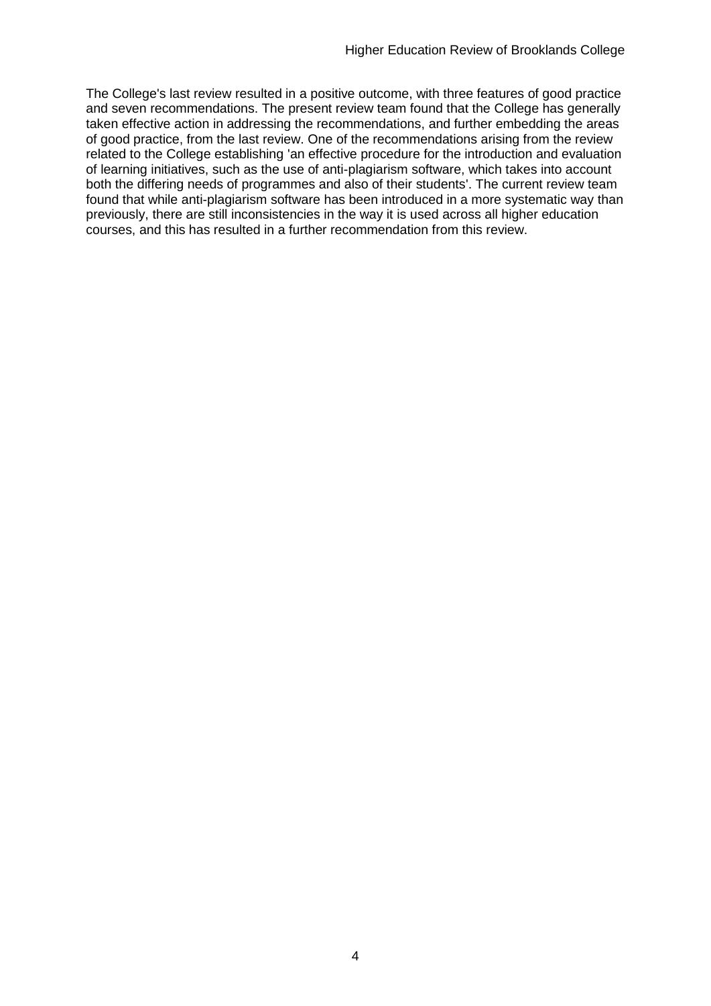The College's last review resulted in a positive outcome, with three features of good practice and seven recommendations. The present review team found that the College has generally taken effective action in addressing the recommendations, and further embedding the areas of good practice, from the last review. One of the recommendations arising from the review related to the College establishing 'an effective procedure for the introduction and evaluation of learning initiatives, such as the use of anti-plagiarism software, which takes into account both the differing needs of programmes and also of their students'. The current review team found that while anti-plagiarism software has been introduced in a more systematic way than previously, there are still inconsistencies in the way it is used across all higher education courses, and this has resulted in a further recommendation from this review.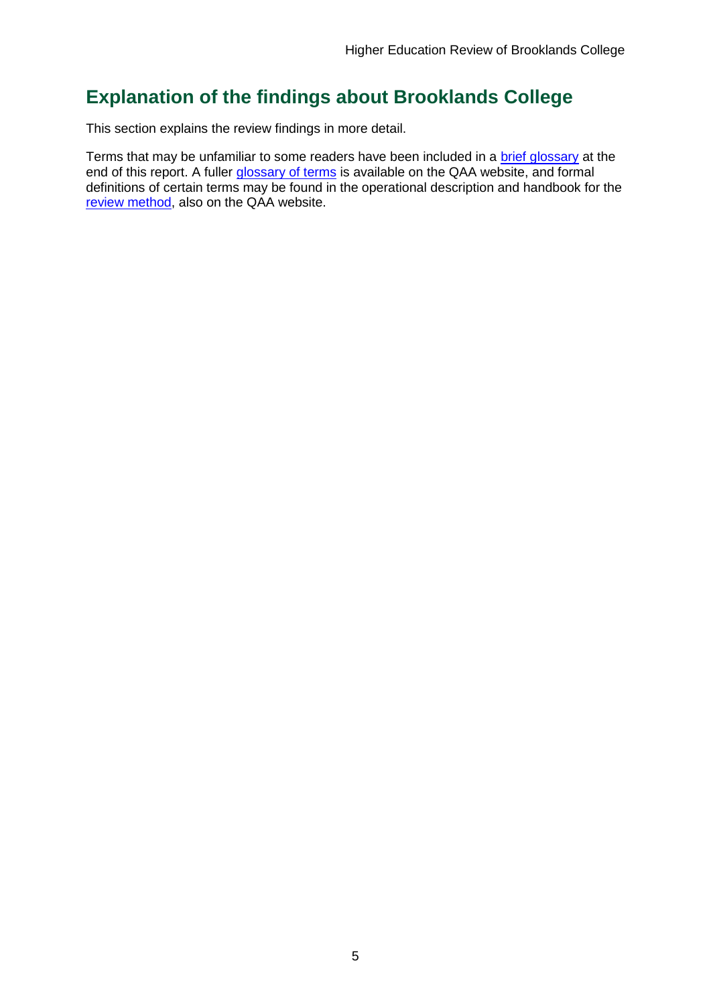## <span id="page-5-0"></span>**Explanation of the findings about Brooklands College**

This section explains the review findings in more detail.

Terms that may be unfamiliar to some readers have been included in a brief glossary at the end of this report. A fuller [glossary of terms](http://www.qaa.ac.uk/AboutUs/glossary/Pages/default.aspx) is available on the QAA website, and formal definitions of certain terms may be found in the operational description and handbook for the [review method,](http://www.qaa.ac.uk/InstitutionReports/types-of-review/Pages/IRENI.aspx) also on the QAA website.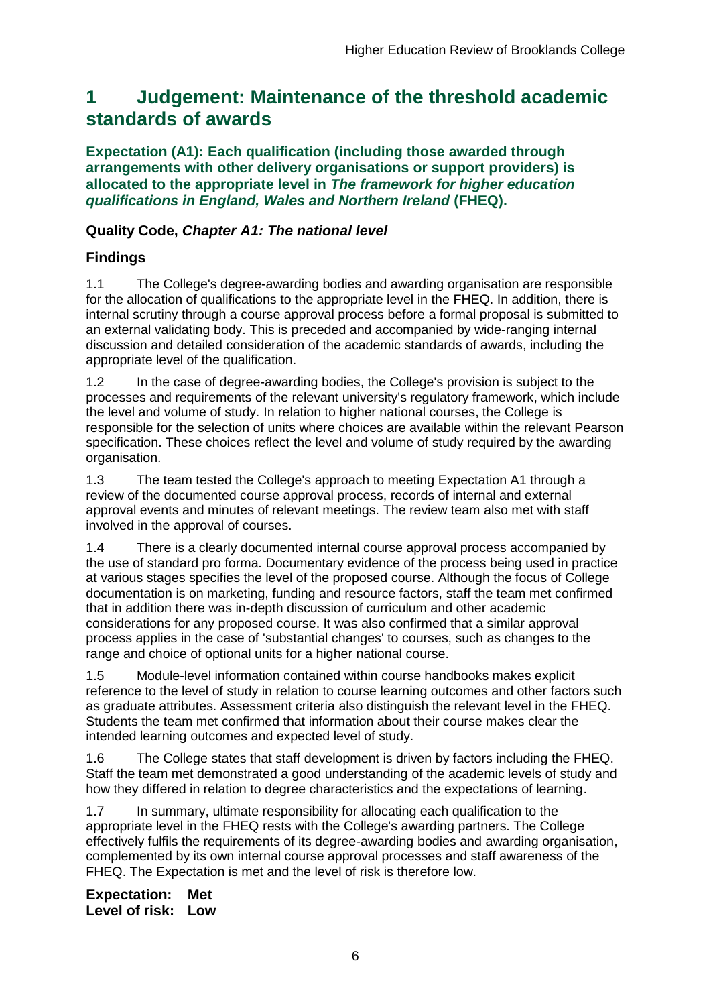## <span id="page-6-0"></span>**1 Judgement: Maintenance of the threshold academic standards of awards**

**Expectation (A1): Each qualification (including those awarded through arrangements with other delivery organisations or support providers) is allocated to the appropriate level in** *The framework for higher education qualifications in England, Wales and Northern Ireland* **(FHEQ).**

### **Quality Code,** *Chapter A1: The national level*

## **Findings**

1.1 The College's degree-awarding bodies and awarding organisation are responsible for the allocation of qualifications to the appropriate level in the FHEQ. In addition, there is internal scrutiny through a course approval process before a formal proposal is submitted to an external validating body. This is preceded and accompanied by wide-ranging internal discussion and detailed consideration of the academic standards of awards, including the appropriate level of the qualification.

1.2 In the case of degree-awarding bodies, the College's provision is subject to the processes and requirements of the relevant university's regulatory framework, which include the level and volume of study. In relation to higher national courses, the College is responsible for the selection of units where choices are available within the relevant Pearson specification. These choices reflect the level and volume of study required by the awarding organisation.

1.3 The team tested the College's approach to meeting Expectation A1 through a review of the documented course approval process, records of internal and external approval events and minutes of relevant meetings. The review team also met with staff involved in the approval of courses.

1.4 There is a clearly documented internal course approval process accompanied by the use of standard pro forma. Documentary evidence of the process being used in practice at various stages specifies the level of the proposed course. Although the focus of College documentation is on marketing, funding and resource factors, staff the team met confirmed that in addition there was in-depth discussion of curriculum and other academic considerations for any proposed course. It was also confirmed that a similar approval process applies in the case of 'substantial changes' to courses, such as changes to the range and choice of optional units for a higher national course.

1.5 Module-level information contained within course handbooks makes explicit reference to the level of study in relation to course learning outcomes and other factors such as graduate attributes. Assessment criteria also distinguish the relevant level in the FHEQ. Students the team met confirmed that information about their course makes clear the intended learning outcomes and expected level of study.

1.6 The College states that staff development is driven by factors including the FHEQ. Staff the team met demonstrated a good understanding of the academic levels of study and how they differed in relation to degree characteristics and the expectations of learning.

1.7 In summary, ultimate responsibility for allocating each qualification to the appropriate level in the FHEQ rests with the College's awarding partners. The College effectively fulfils the requirements of its degree-awarding bodies and awarding organisation, complemented by its own internal course approval processes and staff awareness of the FHEQ. The Expectation is met and the level of risk is therefore low.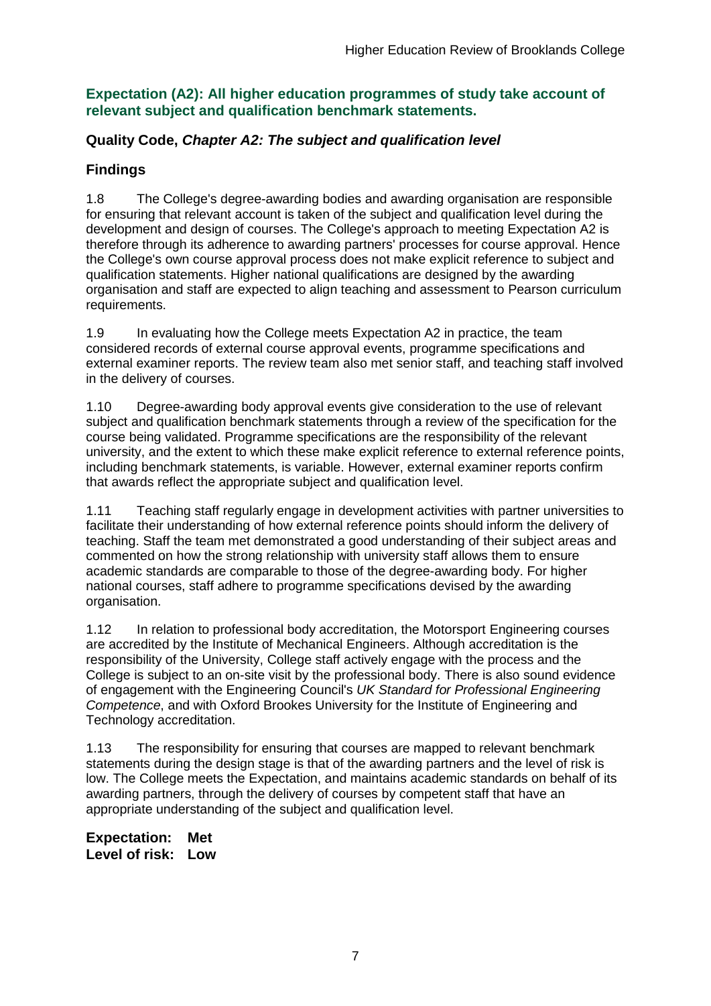### **Expectation (A2): All higher education programmes of study take account of relevant subject and qualification benchmark statements.**

### **Quality Code,** *Chapter A2: The subject and qualification level*

## **Findings**

1.8 The College's degree-awarding bodies and awarding organisation are responsible for ensuring that relevant account is taken of the subject and qualification level during the development and design of courses. The College's approach to meeting Expectation A2 is therefore through its adherence to awarding partners' processes for course approval. Hence the College's own course approval process does not make explicit reference to subject and qualification statements. Higher national qualifications are designed by the awarding organisation and staff are expected to align teaching and assessment to Pearson curriculum requirements.

1.9 In evaluating how the College meets Expectation A2 in practice, the team considered records of external course approval events, programme specifications and external examiner reports. The review team also met senior staff, and teaching staff involved in the delivery of courses.

1.10 Degree-awarding body approval events give consideration to the use of relevant subject and qualification benchmark statements through a review of the specification for the course being validated. Programme specifications are the responsibility of the relevant university, and the extent to which these make explicit reference to external reference points, including benchmark statements, is variable. However, external examiner reports confirm that awards reflect the appropriate subject and qualification level.

1.11 Teaching staff regularly engage in development activities with partner universities to facilitate their understanding of how external reference points should inform the delivery of teaching. Staff the team met demonstrated a good understanding of their subject areas and commented on how the strong relationship with university staff allows them to ensure academic standards are comparable to those of the degree-awarding body. For higher national courses, staff adhere to programme specifications devised by the awarding organisation.

1.12 In relation to professional body accreditation, the Motorsport Engineering courses are accredited by the Institute of Mechanical Engineers. Although accreditation is the responsibility of the University, College staff actively engage with the process and the College is subject to an on-site visit by the professional body. There is also sound evidence of engagement with the Engineering Council's *UK Standard for Professional Engineering Competence*, and with Oxford Brookes University for the Institute of Engineering and Technology accreditation.

1.13 The responsibility for ensuring that courses are mapped to relevant benchmark statements during the design stage is that of the awarding partners and the level of risk is low. The College meets the Expectation, and maintains academic standards on behalf of its awarding partners, through the delivery of courses by competent staff that have an appropriate understanding of the subject and qualification level.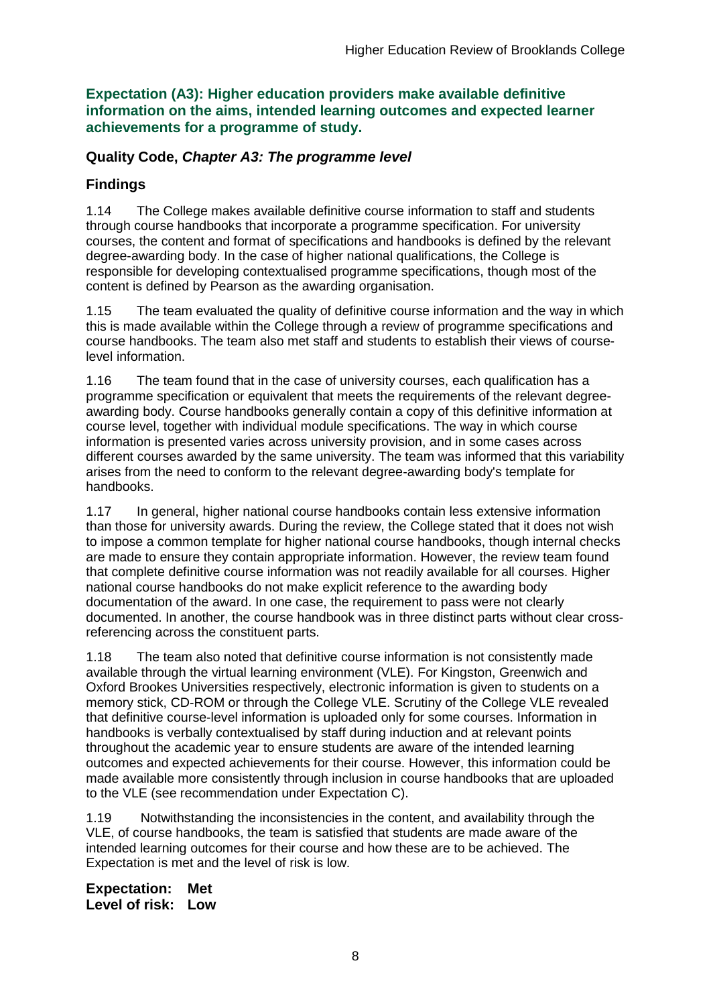**Expectation (A3): Higher education providers make available definitive information on the aims, intended learning outcomes and expected learner achievements for a programme of study.**

#### **Quality Code,** *Chapter A3: The programme level*

#### **Findings**

1.14 The College makes available definitive course information to staff and students through course handbooks that incorporate a programme specification. For university courses, the content and format of specifications and handbooks is defined by the relevant degree-awarding body. In the case of higher national qualifications, the College is responsible for developing contextualised programme specifications, though most of the content is defined by Pearson as the awarding organisation.

1.15 The team evaluated the quality of definitive course information and the way in which this is made available within the College through a review of programme specifications and course handbooks. The team also met staff and students to establish their views of courselevel information.

1.16 The team found that in the case of university courses, each qualification has a programme specification or equivalent that meets the requirements of the relevant degreeawarding body. Course handbooks generally contain a copy of this definitive information at course level, together with individual module specifications. The way in which course information is presented varies across university provision, and in some cases across different courses awarded by the same university. The team was informed that this variability arises from the need to conform to the relevant degree-awarding body's template for handbooks.

1.17 In general, higher national course handbooks contain less extensive information than those for university awards. During the review, the College stated that it does not wish to impose a common template for higher national course handbooks, though internal checks are made to ensure they contain appropriate information. However, the review team found that complete definitive course information was not readily available for all courses. Higher national course handbooks do not make explicit reference to the awarding body documentation of the award. In one case, the requirement to pass were not clearly documented. In another, the course handbook was in three distinct parts without clear crossreferencing across the constituent parts.

1.18 The team also noted that definitive course information is not consistently made available through the virtual learning environment (VLE). For Kingston, Greenwich and Oxford Brookes Universities respectively, electronic information is given to students on a memory stick, CD-ROM or through the College VLE. Scrutiny of the College VLE revealed that definitive course-level information is uploaded only for some courses. Information in handbooks is verbally contextualised by staff during induction and at relevant points throughout the academic year to ensure students are aware of the intended learning outcomes and expected achievements for their course. However, this information could be made available more consistently through inclusion in course handbooks that are uploaded to the VLE (see recommendation under Expectation C).

1.19 Notwithstanding the inconsistencies in the content, and availability through the VLE, of course handbooks, the team is satisfied that students are made aware of the intended learning outcomes for their course and how these are to be achieved. The Expectation is met and the level of risk is low.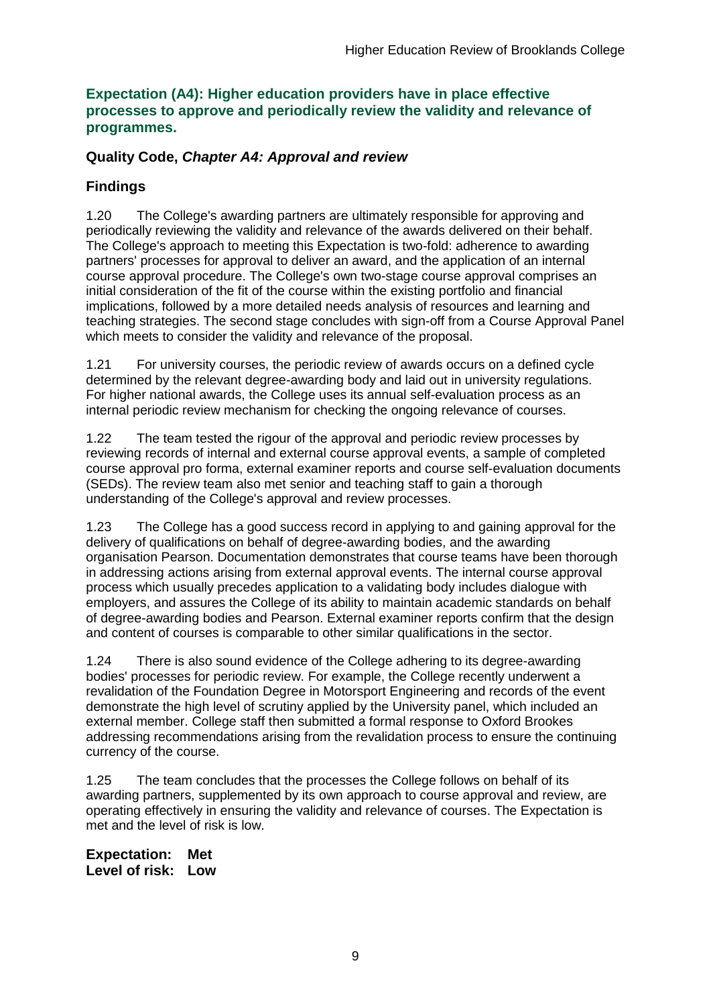#### **Expectation (A4): Higher education providers have in place effective processes to approve and periodically review the validity and relevance of programmes.**

### **Quality Code,** *Chapter A4: Approval and review*

### **Findings**

1.20 The College's awarding partners are ultimately responsible for approving and periodically reviewing the validity and relevance of the awards delivered on their behalf. The College's approach to meeting this Expectation is two-fold: adherence to awarding partners' processes for approval to deliver an award, and the application of an internal course approval procedure. The College's own two-stage course approval comprises an initial consideration of the fit of the course within the existing portfolio and financial implications, followed by a more detailed needs analysis of resources and learning and teaching strategies. The second stage concludes with sign-off from a Course Approval Panel which meets to consider the validity and relevance of the proposal.

1.21 For university courses, the periodic review of awards occurs on a defined cycle determined by the relevant degree-awarding body and laid out in university regulations. For higher national awards, the College uses its annual self-evaluation process as an internal periodic review mechanism for checking the ongoing relevance of courses.

1.22 The team tested the rigour of the approval and periodic review processes by reviewing records of internal and external course approval events, a sample of completed course approval pro forma, external examiner reports and course self-evaluation documents (SEDs). The review team also met senior and teaching staff to gain a thorough understanding of the College's approval and review processes.

1.23 The College has a good success record in applying to and gaining approval for the delivery of qualifications on behalf of degree-awarding bodies, and the awarding organisation Pearson. Documentation demonstrates that course teams have been thorough in addressing actions arising from external approval events. The internal course approval process which usually precedes application to a validating body includes dialogue with employers, and assures the College of its ability to maintain academic standards on behalf of degree-awarding bodies and Pearson. External examiner reports confirm that the design and content of courses is comparable to other similar qualifications in the sector.

1.24 There is also sound evidence of the College adhering to its degree-awarding bodies' processes for periodic review. For example, the College recently underwent a revalidation of the Foundation Degree in Motorsport Engineering and records of the event demonstrate the high level of scrutiny applied by the University panel, which included an external member. College staff then submitted a formal response to Oxford Brookes addressing recommendations arising from the revalidation process to ensure the continuing currency of the course.

1.25 The team concludes that the processes the College follows on behalf of its awarding partners, supplemented by its own approach to course approval and review, are operating effectively in ensuring the validity and relevance of courses. The Expectation is met and the level of risk is low.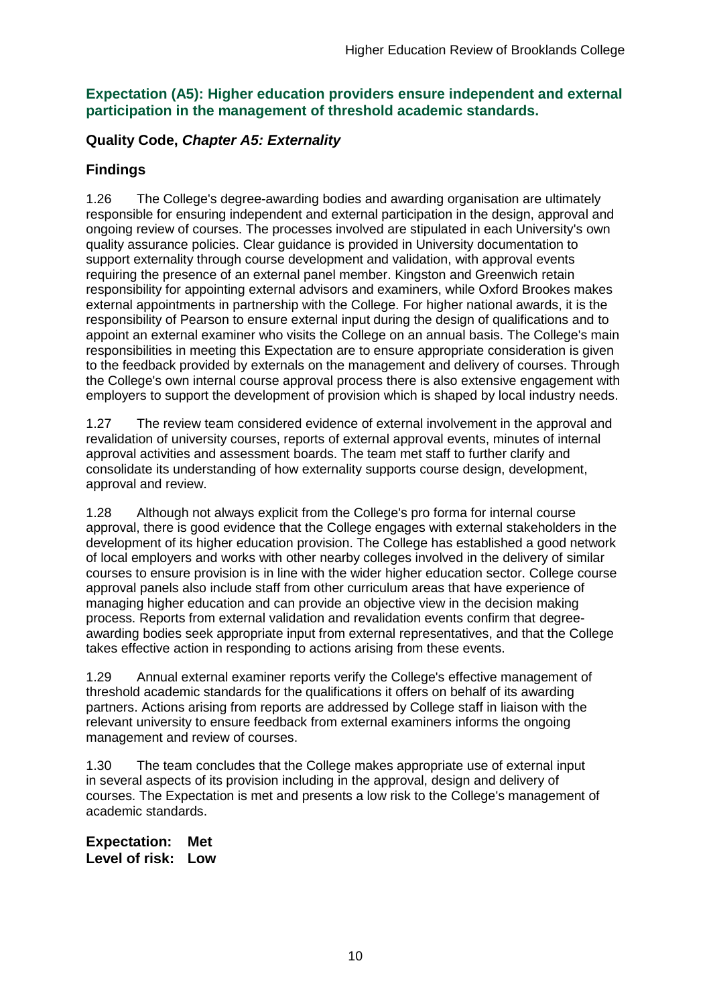### **Expectation (A5): Higher education providers ensure independent and external participation in the management of threshold academic standards.**

## **Quality Code,** *Chapter A5: Externality*

### **Findings**

1.26 The College's degree-awarding bodies and awarding organisation are ultimately responsible for ensuring independent and external participation in the design, approval and ongoing review of courses. The processes involved are stipulated in each University's own quality assurance policies. Clear guidance is provided in University documentation to support externality through course development and validation, with approval events requiring the presence of an external panel member. Kingston and Greenwich retain responsibility for appointing external advisors and examiners, while Oxford Brookes makes external appointments in partnership with the College. For higher national awards, it is the responsibility of Pearson to ensure external input during the design of qualifications and to appoint an external examiner who visits the College on an annual basis. The College's main responsibilities in meeting this Expectation are to ensure appropriate consideration is given to the feedback provided by externals on the management and delivery of courses. Through the College's own internal course approval process there is also extensive engagement with employers to support the development of provision which is shaped by local industry needs.

1.27 The review team considered evidence of external involvement in the approval and revalidation of university courses, reports of external approval events, minutes of internal approval activities and assessment boards. The team met staff to further clarify and consolidate its understanding of how externality supports course design, development, approval and review.

1.28 Although not always explicit from the College's pro forma for internal course approval, there is good evidence that the College engages with external stakeholders in the development of its higher education provision. The College has established a good network of local employers and works with other nearby colleges involved in the delivery of similar courses to ensure provision is in line with the wider higher education sector. College course approval panels also include staff from other curriculum areas that have experience of managing higher education and can provide an objective view in the decision making process. Reports from external validation and revalidation events confirm that degreeawarding bodies seek appropriate input from external representatives, and that the College takes effective action in responding to actions arising from these events.

1.29 Annual external examiner reports verify the College's effective management of threshold academic standards for the qualifications it offers on behalf of its awarding partners. Actions arising from reports are addressed by College staff in liaison with the relevant university to ensure feedback from external examiners informs the ongoing management and review of courses.

1.30 The team concludes that the College makes appropriate use of external input in several aspects of its provision including in the approval, design and delivery of courses. The Expectation is met and presents a low risk to the College's management of academic standards.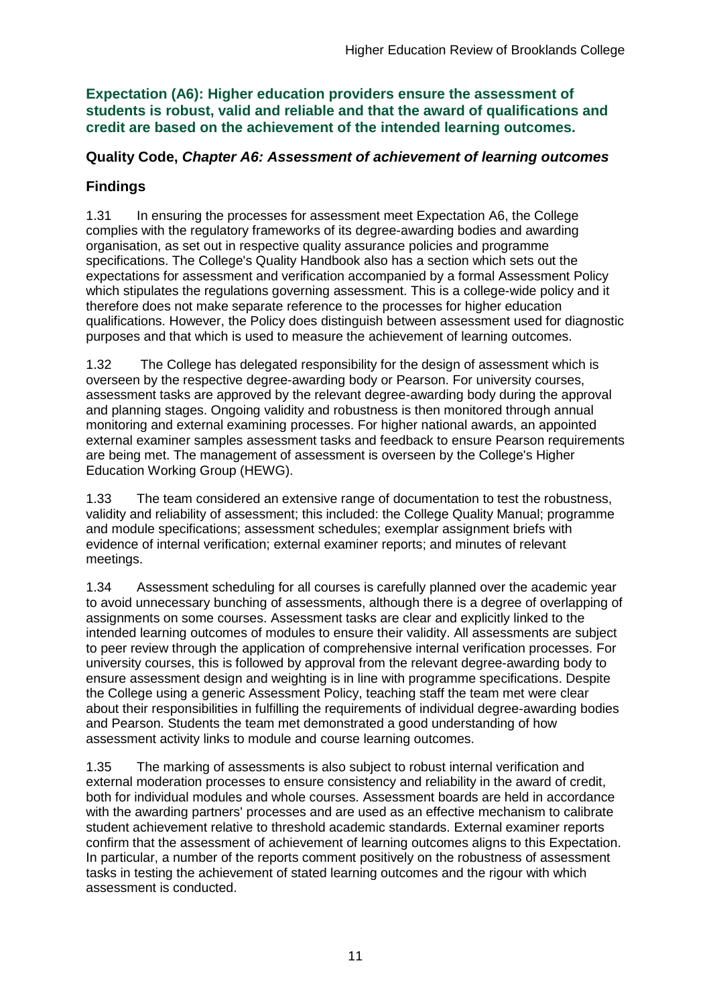**Expectation (A6): Higher education providers ensure the assessment of students is robust, valid and reliable and that the award of qualifications and credit are based on the achievement of the intended learning outcomes.**

#### **Quality Code,** *Chapter A6: Assessment of achievement of learning outcomes*

## **Findings**

1.31 In ensuring the processes for assessment meet Expectation A6, the College complies with the regulatory frameworks of its degree-awarding bodies and awarding organisation, as set out in respective quality assurance policies and programme specifications. The College's Quality Handbook also has a section which sets out the expectations for assessment and verification accompanied by a formal Assessment Policy which stipulates the regulations governing assessment. This is a college-wide policy and it therefore does not make separate reference to the processes for higher education qualifications. However, the Policy does distinguish between assessment used for diagnostic purposes and that which is used to measure the achievement of learning outcomes.

1.32 The College has delegated responsibility for the design of assessment which is overseen by the respective degree-awarding body or Pearson. For university courses, assessment tasks are approved by the relevant degree-awarding body during the approval and planning stages. Ongoing validity and robustness is then monitored through annual monitoring and external examining processes. For higher national awards, an appointed external examiner samples assessment tasks and feedback to ensure Pearson requirements are being met. The management of assessment is overseen by the College's Higher Education Working Group (HEWG).

1.33 The team considered an extensive range of documentation to test the robustness, validity and reliability of assessment; this included: the College Quality Manual; programme and module specifications; assessment schedules; exemplar assignment briefs with evidence of internal verification; external examiner reports; and minutes of relevant meetings.

1.34 Assessment scheduling for all courses is carefully planned over the academic year to avoid unnecessary bunching of assessments, although there is a degree of overlapping of assignments on some courses. Assessment tasks are clear and explicitly linked to the intended learning outcomes of modules to ensure their validity. All assessments are subject to peer review through the application of comprehensive internal verification processes. For university courses, this is followed by approval from the relevant degree-awarding body to ensure assessment design and weighting is in line with programme specifications. Despite the College using a generic Assessment Policy, teaching staff the team met were clear about their responsibilities in fulfilling the requirements of individual degree-awarding bodies and Pearson. Students the team met demonstrated a good understanding of how assessment activity links to module and course learning outcomes.

1.35 The marking of assessments is also subject to robust internal verification and external moderation processes to ensure consistency and reliability in the award of credit, both for individual modules and whole courses. Assessment boards are held in accordance with the awarding partners' processes and are used as an effective mechanism to calibrate student achievement relative to threshold academic standards. External examiner reports confirm that the assessment of achievement of learning outcomes aligns to this Expectation. In particular, a number of the reports comment positively on the robustness of assessment tasks in testing the achievement of stated learning outcomes and the rigour with which assessment is conducted.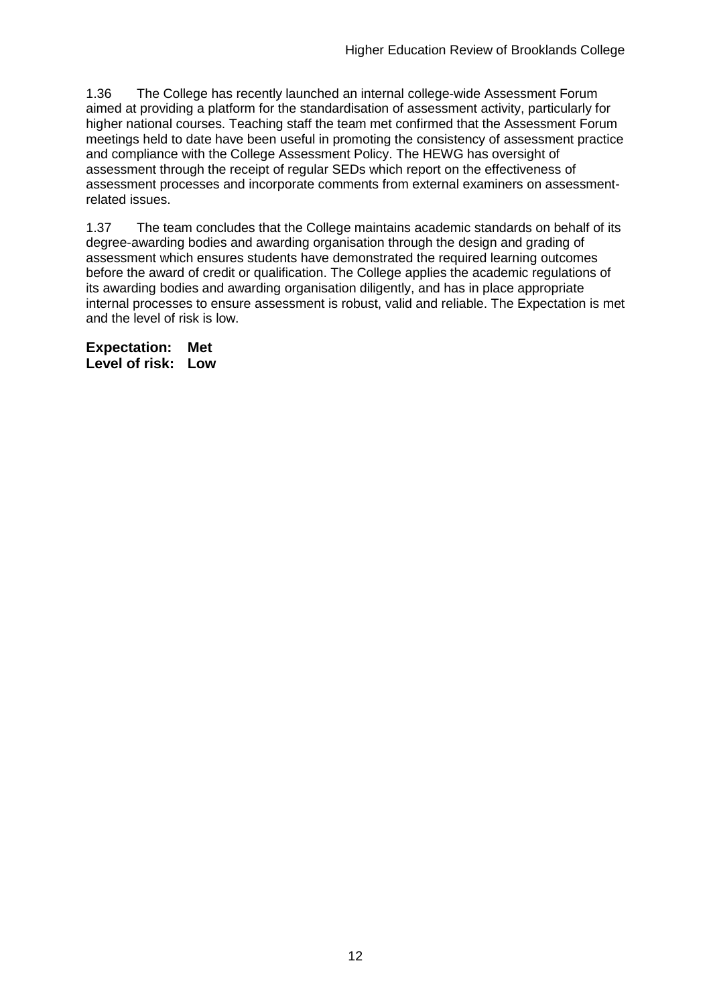1.36 The College has recently launched an internal college-wide Assessment Forum aimed at providing a platform for the standardisation of assessment activity, particularly for higher national courses. Teaching staff the team met confirmed that the Assessment Forum meetings held to date have been useful in promoting the consistency of assessment practice and compliance with the College Assessment Policy. The HEWG has oversight of assessment through the receipt of regular SEDs which report on the effectiveness of assessment processes and incorporate comments from external examiners on assessmentrelated issues.

1.37 The team concludes that the College maintains academic standards on behalf of its degree-awarding bodies and awarding organisation through the design and grading of assessment which ensures students have demonstrated the required learning outcomes before the award of credit or qualification. The College applies the academic regulations of its awarding bodies and awarding organisation diligently, and has in place appropriate internal processes to ensure assessment is robust, valid and reliable. The Expectation is met and the level of risk is low.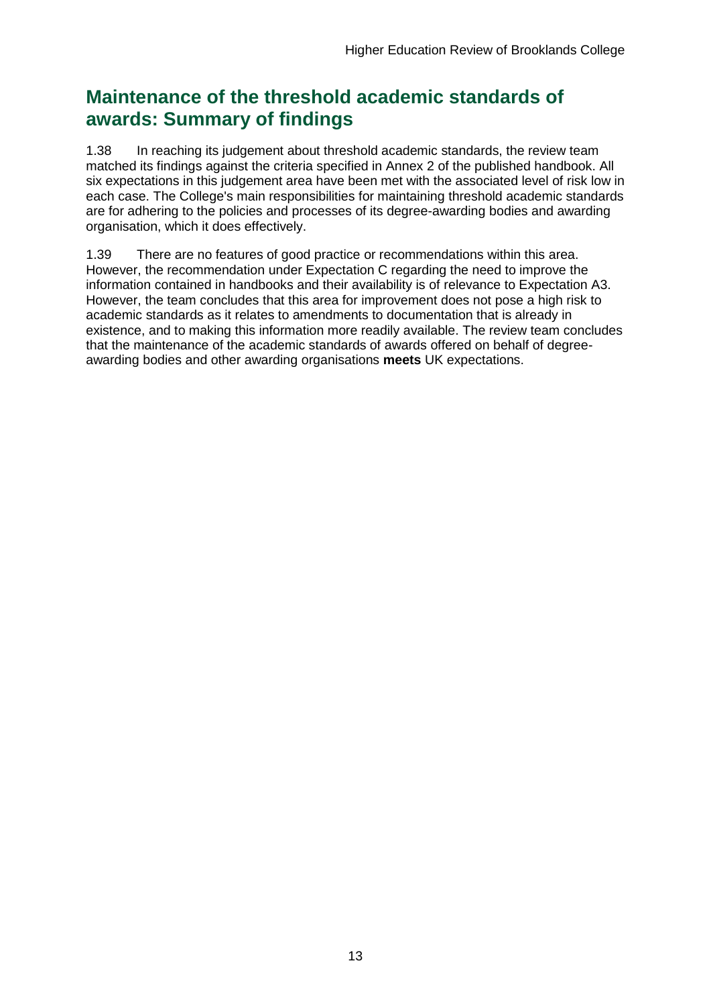## **Maintenance of the threshold academic standards of awards: Summary of findings**

1.38 In reaching its judgement about threshold academic standards, the review team matched its findings against the criteria specified in Annex 2 of the published handbook. All six expectations in this judgement area have been met with the associated level of risk low in each case. The College's main responsibilities for maintaining threshold academic standards are for adhering to the policies and processes of its degree-awarding bodies and awarding organisation, which it does effectively.

1.39 There are no features of good practice or recommendations within this area. However, the recommendation under Expectation C regarding the need to improve the information contained in handbooks and their availability is of relevance to Expectation A3. However, the team concludes that this area for improvement does not pose a high risk to academic standards as it relates to amendments to documentation that is already in existence, and to making this information more readily available. The review team concludes that the maintenance of the academic standards of awards offered on behalf of degreeawarding bodies and other awarding organisations **meets** UK expectations.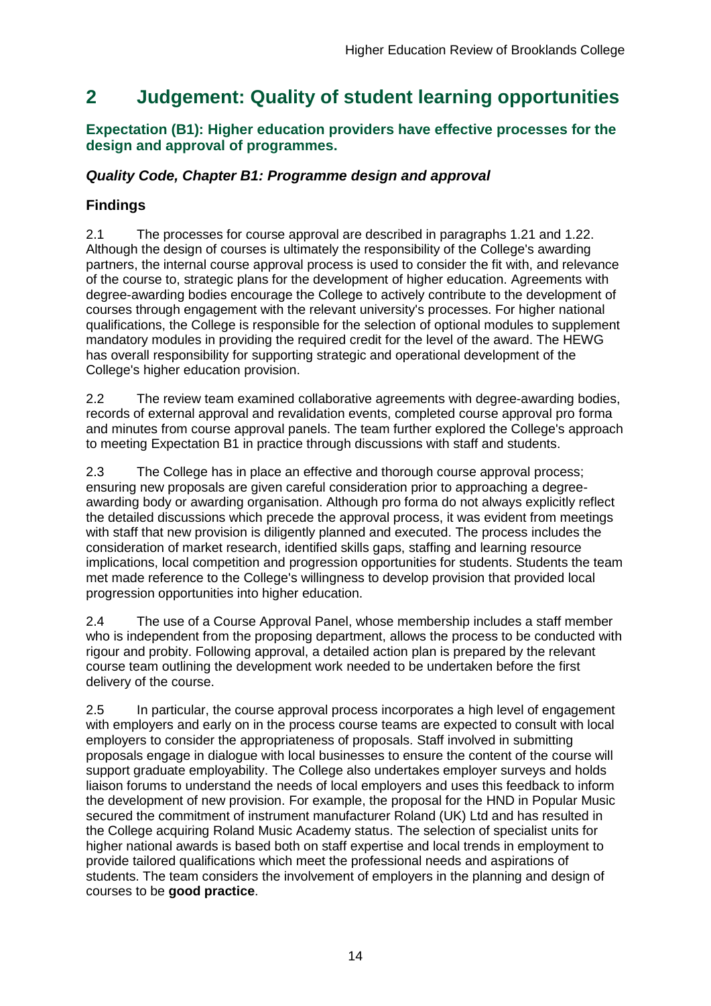## <span id="page-14-0"></span>**2 Judgement: Quality of student learning opportunities**

### **Expectation (B1): Higher education providers have effective processes for the design and approval of programmes.**

## *Quality Code, Chapter B1: Programme design and approval*

## **Findings**

2.1 The processes for course approval are described in paragraphs 1.21 and 1.22. Although the design of courses is ultimately the responsibility of the College's awarding partners, the internal course approval process is used to consider the fit with, and relevance of the course to, strategic plans for the development of higher education. Agreements with degree-awarding bodies encourage the College to actively contribute to the development of courses through engagement with the relevant university's processes. For higher national qualifications, the College is responsible for the selection of optional modules to supplement mandatory modules in providing the required credit for the level of the award. The HEWG has overall responsibility for supporting strategic and operational development of the College's higher education provision.

2.2 The review team examined collaborative agreements with degree-awarding bodies, records of external approval and revalidation events, completed course approval pro forma and minutes from course approval panels. The team further explored the College's approach to meeting Expectation B1 in practice through discussions with staff and students.

2.3 The College has in place an effective and thorough course approval process; ensuring new proposals are given careful consideration prior to approaching a degreeawarding body or awarding organisation. Although pro forma do not always explicitly reflect the detailed discussions which precede the approval process, it was evident from meetings with staff that new provision is diligently planned and executed. The process includes the consideration of market research, identified skills gaps, staffing and learning resource implications, local competition and progression opportunities for students. Students the team met made reference to the College's willingness to develop provision that provided local progression opportunities into higher education.

2.4 The use of a Course Approval Panel, whose membership includes a staff member who is independent from the proposing department, allows the process to be conducted with rigour and probity. Following approval, a detailed action plan is prepared by the relevant course team outlining the development work needed to be undertaken before the first delivery of the course.

2.5 In particular, the course approval process incorporates a high level of engagement with employers and early on in the process course teams are expected to consult with local employers to consider the appropriateness of proposals. Staff involved in submitting proposals engage in dialogue with local businesses to ensure the content of the course will support graduate employability. The College also undertakes employer surveys and holds liaison forums to understand the needs of local employers and uses this feedback to inform the development of new provision. For example, the proposal for the HND in Popular Music secured the commitment of instrument manufacturer Roland (UK) Ltd and has resulted in the College acquiring Roland Music Academy status. The selection of specialist units for higher national awards is based both on staff expertise and local trends in employment to provide tailored qualifications which meet the professional needs and aspirations of students. The team considers the involvement of employers in the planning and design of courses to be **good practice**.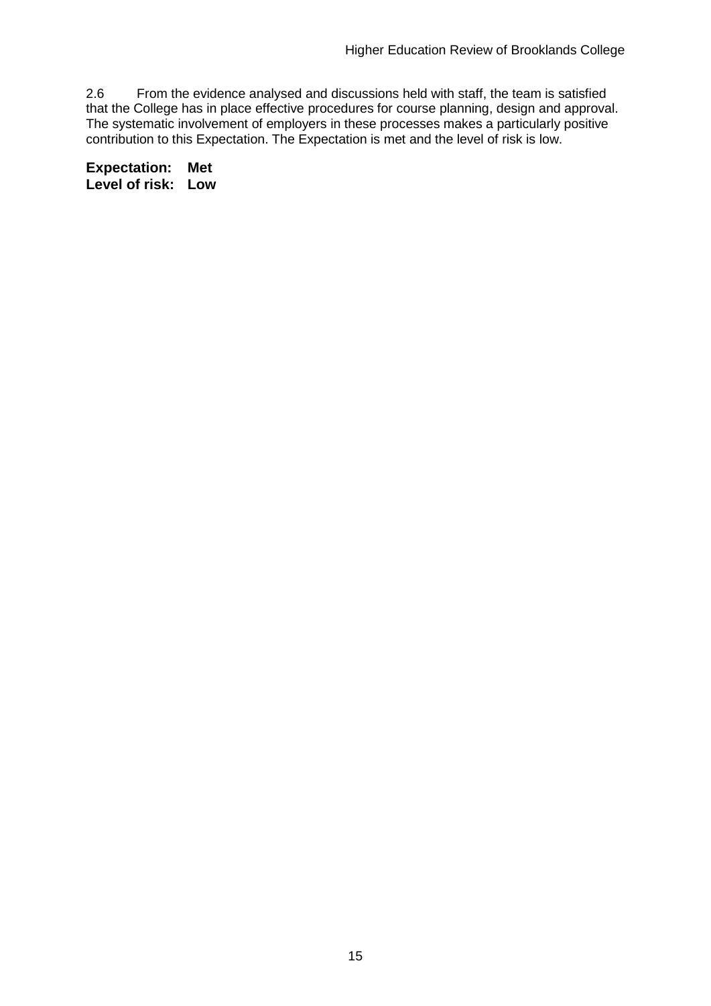2.6 From the evidence analysed and discussions held with staff, the team is satisfied that the College has in place effective procedures for course planning, design and approval. The systematic involvement of employers in these processes makes a particularly positive contribution to this Expectation. The Expectation is met and the level of risk is low.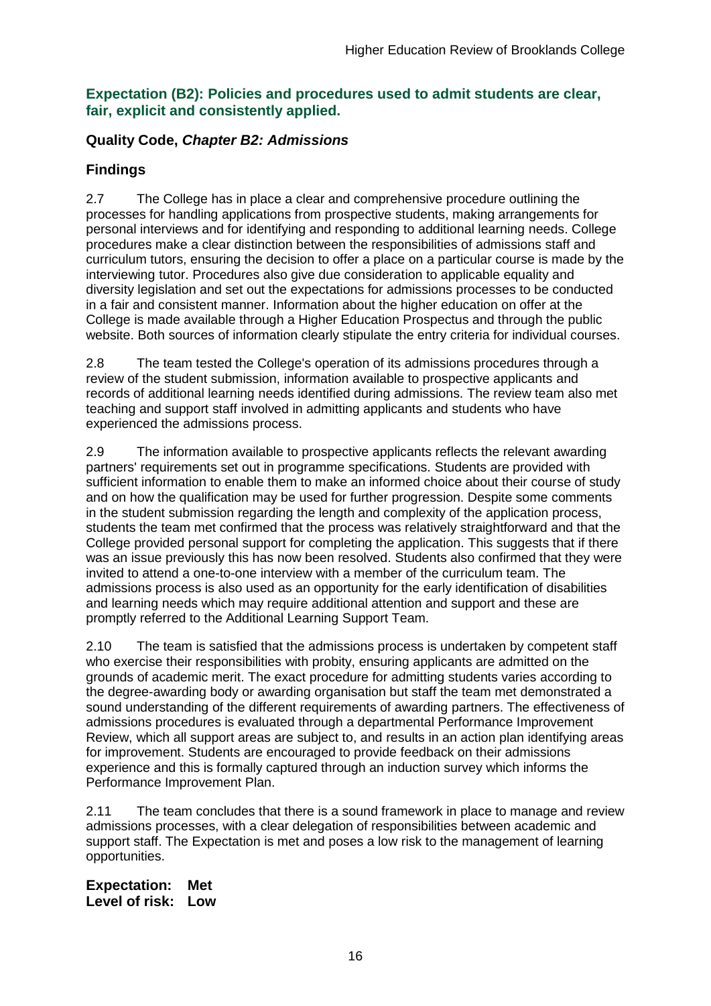#### **Expectation (B2): Policies and procedures used to admit students are clear, fair, explicit and consistently applied.**

### **Quality Code,** *Chapter B2: Admissions*

### **Findings**

2.7 The College has in place a clear and comprehensive procedure outlining the processes for handling applications from prospective students, making arrangements for personal interviews and for identifying and responding to additional learning needs. College procedures make a clear distinction between the responsibilities of admissions staff and curriculum tutors, ensuring the decision to offer a place on a particular course is made by the interviewing tutor. Procedures also give due consideration to applicable equality and diversity legislation and set out the expectations for admissions processes to be conducted in a fair and consistent manner. Information about the higher education on offer at the College is made available through a Higher Education Prospectus and through the public website. Both sources of information clearly stipulate the entry criteria for individual courses.

2.8 The team tested the College's operation of its admissions procedures through a review of the student submission, information available to prospective applicants and records of additional learning needs identified during admissions. The review team also met teaching and support staff involved in admitting applicants and students who have experienced the admissions process.

2.9 The information available to prospective applicants reflects the relevant awarding partners' requirements set out in programme specifications. Students are provided with sufficient information to enable them to make an informed choice about their course of study and on how the qualification may be used for further progression. Despite some comments in the student submission regarding the length and complexity of the application process, students the team met confirmed that the process was relatively straightforward and that the College provided personal support for completing the application. This suggests that if there was an issue previously this has now been resolved. Students also confirmed that they were invited to attend a one-to-one interview with a member of the curriculum team. The admissions process is also used as an opportunity for the early identification of disabilities and learning needs which may require additional attention and support and these are promptly referred to the Additional Learning Support Team.

2.10 The team is satisfied that the admissions process is undertaken by competent staff who exercise their responsibilities with probity, ensuring applicants are admitted on the grounds of academic merit. The exact procedure for admitting students varies according to the degree-awarding body or awarding organisation but staff the team met demonstrated a sound understanding of the different requirements of awarding partners. The effectiveness of admissions procedures is evaluated through a departmental Performance Improvement Review, which all support areas are subject to, and results in an action plan identifying areas for improvement. Students are encouraged to provide feedback on their admissions experience and this is formally captured through an induction survey which informs the Performance Improvement Plan.

2.11 The team concludes that there is a sound framework in place to manage and review admissions processes, with a clear delegation of responsibilities between academic and support staff. The Expectation is met and poses a low risk to the management of learning opportunities.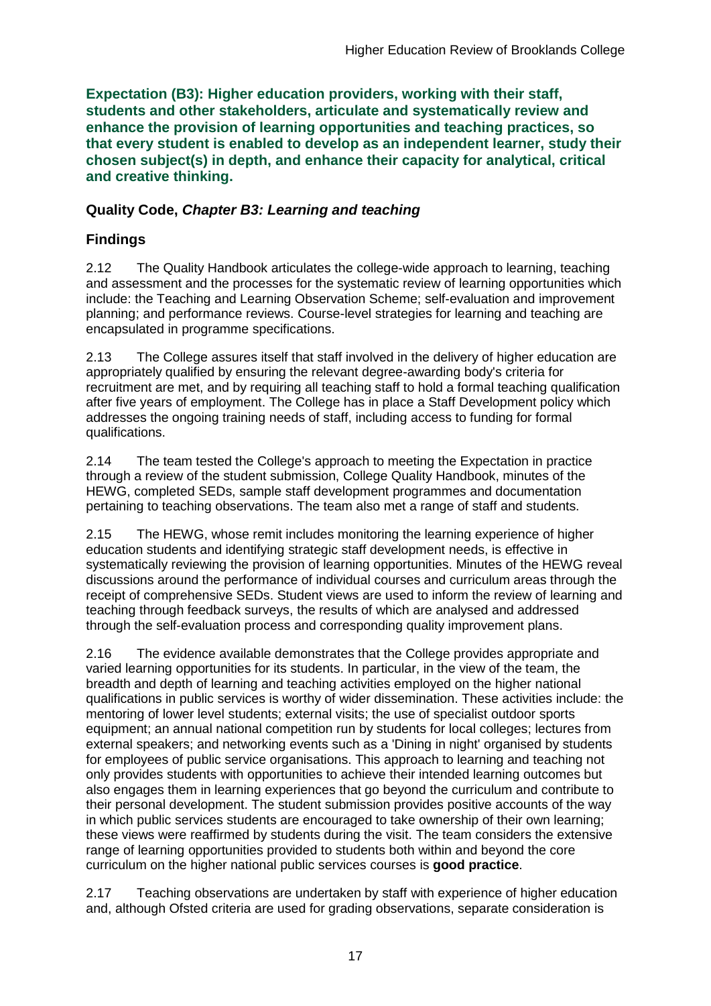**Expectation (B3): Higher education providers, working with their staff, students and other stakeholders, articulate and systematically review and enhance the provision of learning opportunities and teaching practices, so that every student is enabled to develop as an independent learner, study their chosen subject(s) in depth, and enhance their capacity for analytical, critical and creative thinking.**

### **Quality Code,** *Chapter B3: Learning and teaching*

## **Findings**

2.12 The Quality Handbook articulates the college-wide approach to learning, teaching and assessment and the processes for the systematic review of learning opportunities which include: the Teaching and Learning Observation Scheme; self-evaluation and improvement planning; and performance reviews. Course-level strategies for learning and teaching are encapsulated in programme specifications.

2.13 The College assures itself that staff involved in the delivery of higher education are appropriately qualified by ensuring the relevant degree-awarding body's criteria for recruitment are met, and by requiring all teaching staff to hold a formal teaching qualification after five years of employment. The College has in place a Staff Development policy which addresses the ongoing training needs of staff, including access to funding for formal qualifications.

2.14 The team tested the College's approach to meeting the Expectation in practice through a review of the student submission, College Quality Handbook, minutes of the HEWG, completed SEDs, sample staff development programmes and documentation pertaining to teaching observations. The team also met a range of staff and students.

2.15 The HEWG, whose remit includes monitoring the learning experience of higher education students and identifying strategic staff development needs, is effective in systematically reviewing the provision of learning opportunities. Minutes of the HEWG reveal discussions around the performance of individual courses and curriculum areas through the receipt of comprehensive SEDs. Student views are used to inform the review of learning and teaching through feedback surveys, the results of which are analysed and addressed through the self-evaluation process and corresponding quality improvement plans.

2.16 The evidence available demonstrates that the College provides appropriate and varied learning opportunities for its students. In particular, in the view of the team, the breadth and depth of learning and teaching activities employed on the higher national qualifications in public services is worthy of wider dissemination. These activities include: the mentoring of lower level students; external visits; the use of specialist outdoor sports equipment; an annual national competition run by students for local colleges; lectures from external speakers; and networking events such as a 'Dining in night' organised by students for employees of public service organisations. This approach to learning and teaching not only provides students with opportunities to achieve their intended learning outcomes but also engages them in learning experiences that go beyond the curriculum and contribute to their personal development. The student submission provides positive accounts of the way in which public services students are encouraged to take ownership of their own learning; these views were reaffirmed by students during the visit. The team considers the extensive range of learning opportunities provided to students both within and beyond the core curriculum on the higher national public services courses is **good practice**.

2.17 Teaching observations are undertaken by staff with experience of higher education and, although Ofsted criteria are used for grading observations, separate consideration is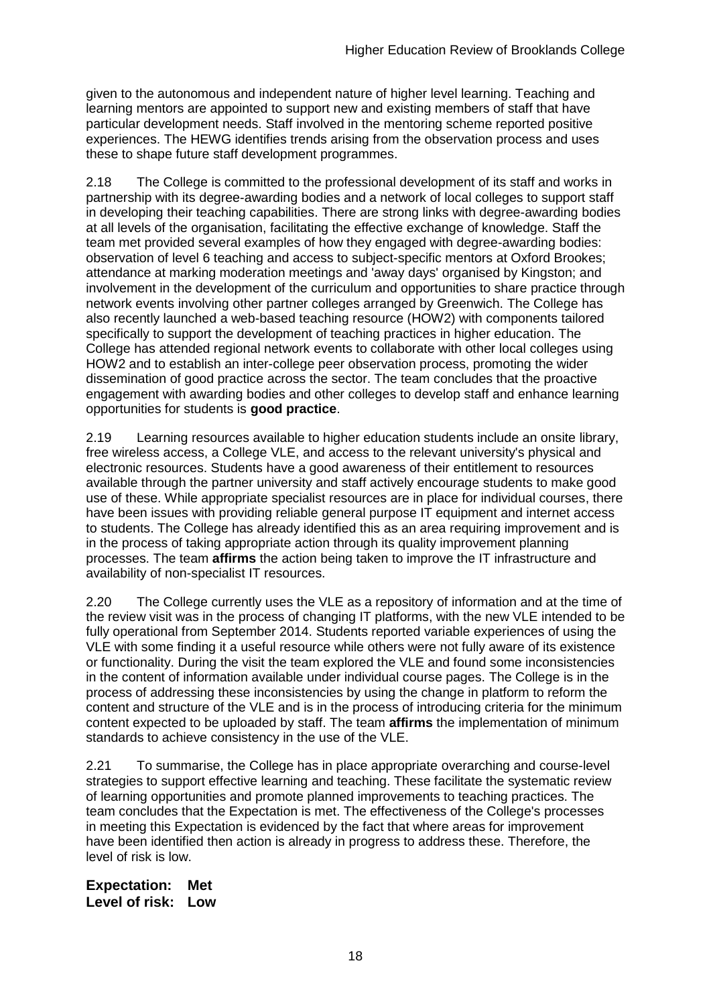given to the autonomous and independent nature of higher level learning. Teaching and learning mentors are appointed to support new and existing members of staff that have particular development needs. Staff involved in the mentoring scheme reported positive experiences. The HEWG identifies trends arising from the observation process and uses these to shape future staff development programmes.

2.18 The College is committed to the professional development of its staff and works in partnership with its degree-awarding bodies and a network of local colleges to support staff in developing their teaching capabilities. There are strong links with degree-awarding bodies at all levels of the organisation, facilitating the effective exchange of knowledge. Staff the team met provided several examples of how they engaged with degree-awarding bodies: observation of level 6 teaching and access to subject-specific mentors at Oxford Brookes; attendance at marking moderation meetings and 'away days' organised by Kingston; and involvement in the development of the curriculum and opportunities to share practice through network events involving other partner colleges arranged by Greenwich. The College has also recently launched a web-based teaching resource (HOW2) with components tailored specifically to support the development of teaching practices in higher education. The College has attended regional network events to collaborate with other local colleges using HOW2 and to establish an inter-college peer observation process, promoting the wider dissemination of good practice across the sector. The team concludes that the proactive engagement with awarding bodies and other colleges to develop staff and enhance learning opportunities for students is **good practice**.

2.19 Learning resources available to higher education students include an onsite library, free wireless access, a College VLE, and access to the relevant university's physical and electronic resources. Students have a good awareness of their entitlement to resources available through the partner university and staff actively encourage students to make good use of these. While appropriate specialist resources are in place for individual courses, there have been issues with providing reliable general purpose IT equipment and internet access to students. The College has already identified this as an area requiring improvement and is in the process of taking appropriate action through its quality improvement planning processes. The team **affirms** the action being taken to improve the IT infrastructure and availability of non-specialist IT resources.

2.20 The College currently uses the VLE as a repository of information and at the time of the review visit was in the process of changing IT platforms, with the new VLE intended to be fully operational from September 2014. Students reported variable experiences of using the VLE with some finding it a useful resource while others were not fully aware of its existence or functionality. During the visit the team explored the VLE and found some inconsistencies in the content of information available under individual course pages. The College is in the process of addressing these inconsistencies by using the change in platform to reform the content and structure of the VLE and is in the process of introducing criteria for the minimum content expected to be uploaded by staff. The team **affirms** the implementation of minimum standards to achieve consistency in the use of the VLE.

2.21 To summarise, the College has in place appropriate overarching and course-level strategies to support effective learning and teaching. These facilitate the systematic review of learning opportunities and promote planned improvements to teaching practices. The team concludes that the Expectation is met. The effectiveness of the College's processes in meeting this Expectation is evidenced by the fact that where areas for improvement have been identified then action is already in progress to address these. Therefore, the level of risk is low.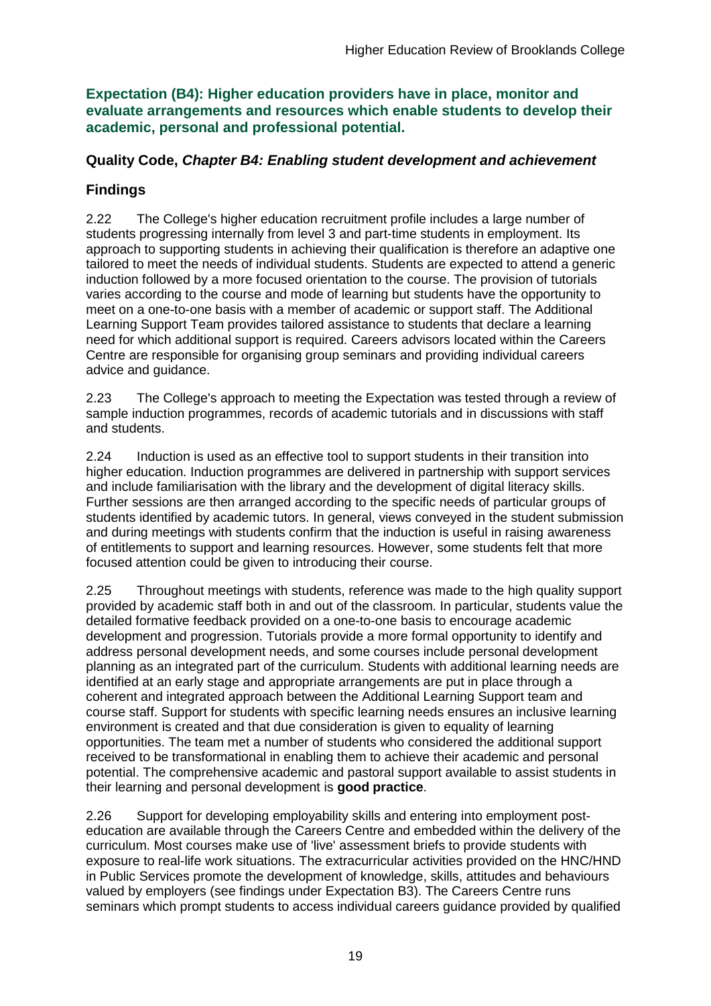**Expectation (B4): Higher education providers have in place, monitor and evaluate arrangements and resources which enable students to develop their academic, personal and professional potential.**

### **Quality Code,** *Chapter B4: Enabling student development and achievement*

### **Findings**

2.22 The College's higher education recruitment profile includes a large number of students progressing internally from level 3 and part-time students in employment. Its approach to supporting students in achieving their qualification is therefore an adaptive one tailored to meet the needs of individual students. Students are expected to attend a generic induction followed by a more focused orientation to the course. The provision of tutorials varies according to the course and mode of learning but students have the opportunity to meet on a one-to-one basis with a member of academic or support staff. The Additional Learning Support Team provides tailored assistance to students that declare a learning need for which additional support is required. Careers advisors located within the Careers Centre are responsible for organising group seminars and providing individual careers advice and guidance.

2.23 The College's approach to meeting the Expectation was tested through a review of sample induction programmes, records of academic tutorials and in discussions with staff and students.

2.24 Induction is used as an effective tool to support students in their transition into higher education. Induction programmes are delivered in partnership with support services and include familiarisation with the library and the development of digital literacy skills. Further sessions are then arranged according to the specific needs of particular groups of students identified by academic tutors. In general, views conveyed in the student submission and during meetings with students confirm that the induction is useful in raising awareness of entitlements to support and learning resources. However, some students felt that more focused attention could be given to introducing their course.

2.25 Throughout meetings with students, reference was made to the high quality support provided by academic staff both in and out of the classroom. In particular, students value the detailed formative feedback provided on a one-to-one basis to encourage academic development and progression. Tutorials provide a more formal opportunity to identify and address personal development needs, and some courses include personal development planning as an integrated part of the curriculum. Students with additional learning needs are identified at an early stage and appropriate arrangements are put in place through a coherent and integrated approach between the Additional Learning Support team and course staff. Support for students with specific learning needs ensures an inclusive learning environment is created and that due consideration is given to equality of learning opportunities. The team met a number of students who considered the additional support received to be transformational in enabling them to achieve their academic and personal potential. The comprehensive academic and pastoral support available to assist students in their learning and personal development is **good practice**.

2.26 Support for developing employability skills and entering into employment posteducation are available through the Careers Centre and embedded within the delivery of the curriculum. Most courses make use of 'live' assessment briefs to provide students with exposure to real-life work situations. The extracurricular activities provided on the HNC/HND in Public Services promote the development of knowledge, skills, attitudes and behaviours valued by employers (see findings under Expectation B3). The Careers Centre runs seminars which prompt students to access individual careers guidance provided by qualified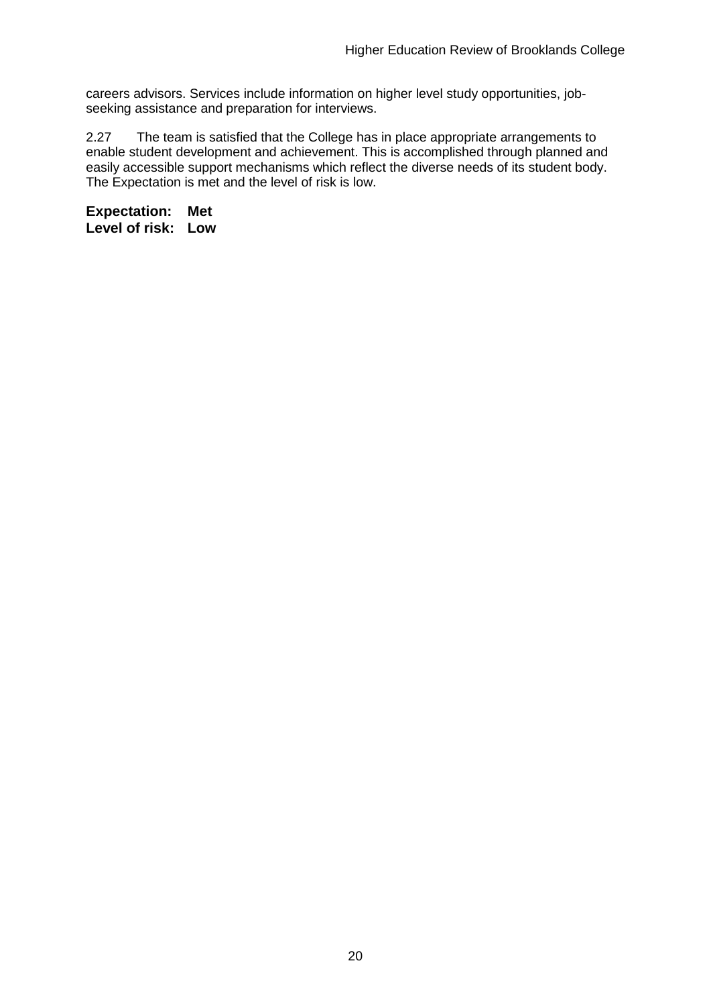careers advisors. Services include information on higher level study opportunities, jobseeking assistance and preparation for interviews.

2.27 The team is satisfied that the College has in place appropriate arrangements to enable student development and achievement. This is accomplished through planned and easily accessible support mechanisms which reflect the diverse needs of its student body. The Expectation is met and the level of risk is low.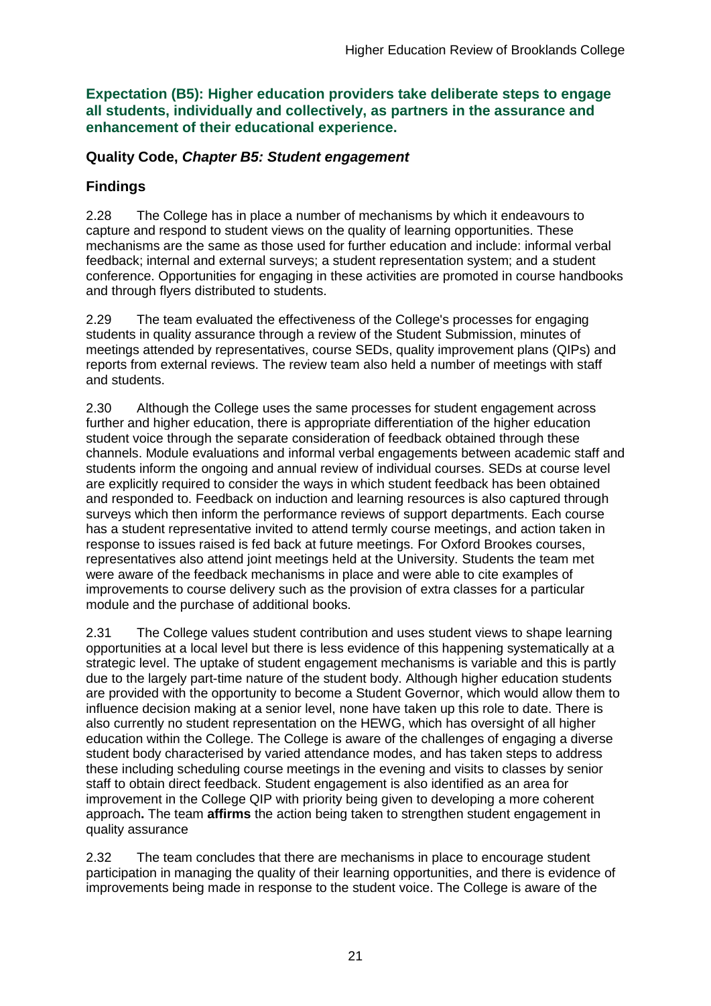**Expectation (B5): Higher education providers take deliberate steps to engage all students, individually and collectively, as partners in the assurance and enhancement of their educational experience.**

#### **Quality Code,** *Chapter B5: Student engagement*

### **Findings**

2.28 The College has in place a number of mechanisms by which it endeavours to capture and respond to student views on the quality of learning opportunities. These mechanisms are the same as those used for further education and include: informal verbal feedback; internal and external surveys; a student representation system; and a student conference. Opportunities for engaging in these activities are promoted in course handbooks and through flyers distributed to students.

2.29 The team evaluated the effectiveness of the College's processes for engaging students in quality assurance through a review of the Student Submission, minutes of meetings attended by representatives, course SEDs, quality improvement plans (QIPs) and reports from external reviews. The review team also held a number of meetings with staff and students.

2.30 Although the College uses the same processes for student engagement across further and higher education, there is appropriate differentiation of the higher education student voice through the separate consideration of feedback obtained through these channels. Module evaluations and informal verbal engagements between academic staff and students inform the ongoing and annual review of individual courses. SEDs at course level are explicitly required to consider the ways in which student feedback has been obtained and responded to. Feedback on induction and learning resources is also captured through surveys which then inform the performance reviews of support departments. Each course has a student representative invited to attend termly course meetings, and action taken in response to issues raised is fed back at future meetings. For Oxford Brookes courses, representatives also attend joint meetings held at the University. Students the team met were aware of the feedback mechanisms in place and were able to cite examples of improvements to course delivery such as the provision of extra classes for a particular module and the purchase of additional books.

2.31 The College values student contribution and uses student views to shape learning opportunities at a local level but there is less evidence of this happening systematically at a strategic level. The uptake of student engagement mechanisms is variable and this is partly due to the largely part-time nature of the student body. Although higher education students are provided with the opportunity to become a Student Governor, which would allow them to influence decision making at a senior level, none have taken up this role to date. There is also currently no student representation on the HEWG, which has oversight of all higher education within the College. The College is aware of the challenges of engaging a diverse student body characterised by varied attendance modes, and has taken steps to address these including scheduling course meetings in the evening and visits to classes by senior staff to obtain direct feedback. Student engagement is also identified as an area for improvement in the College QIP with priority being given to developing a more coherent approach**.** The team **affirms** the action being taken to strengthen student engagement in quality assurance

2.32 The team concludes that there are mechanisms in place to encourage student participation in managing the quality of their learning opportunities, and there is evidence of improvements being made in response to the student voice. The College is aware of the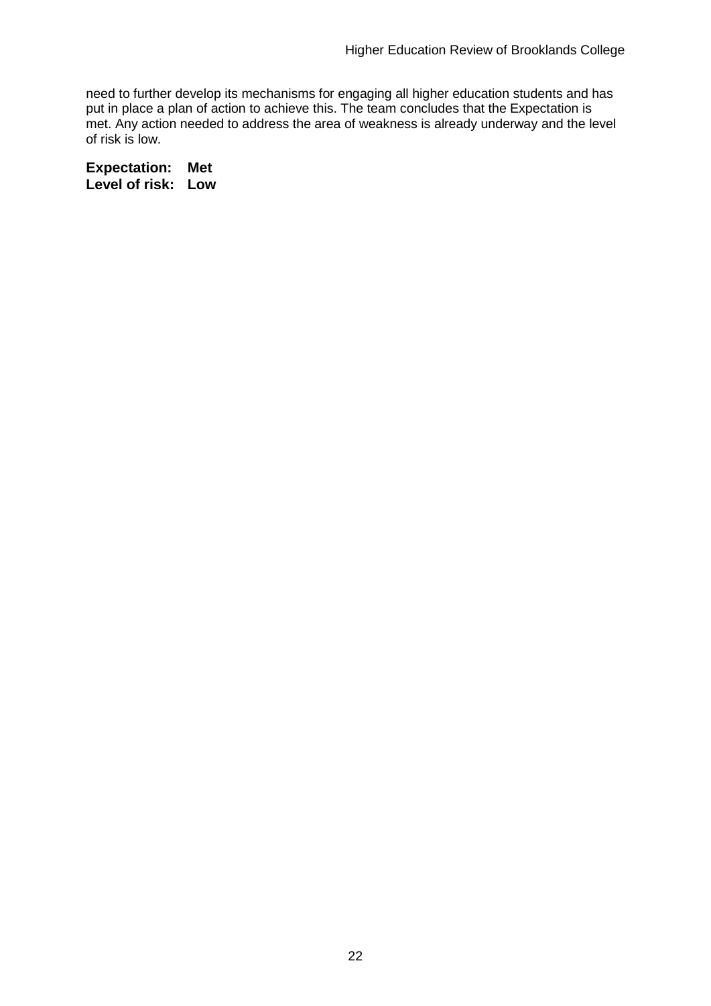need to further develop its mechanisms for engaging all higher education students and has put in place a plan of action to achieve this. The team concludes that the Expectation is met. Any action needed to address the area of weakness is already underway and the level of risk is low.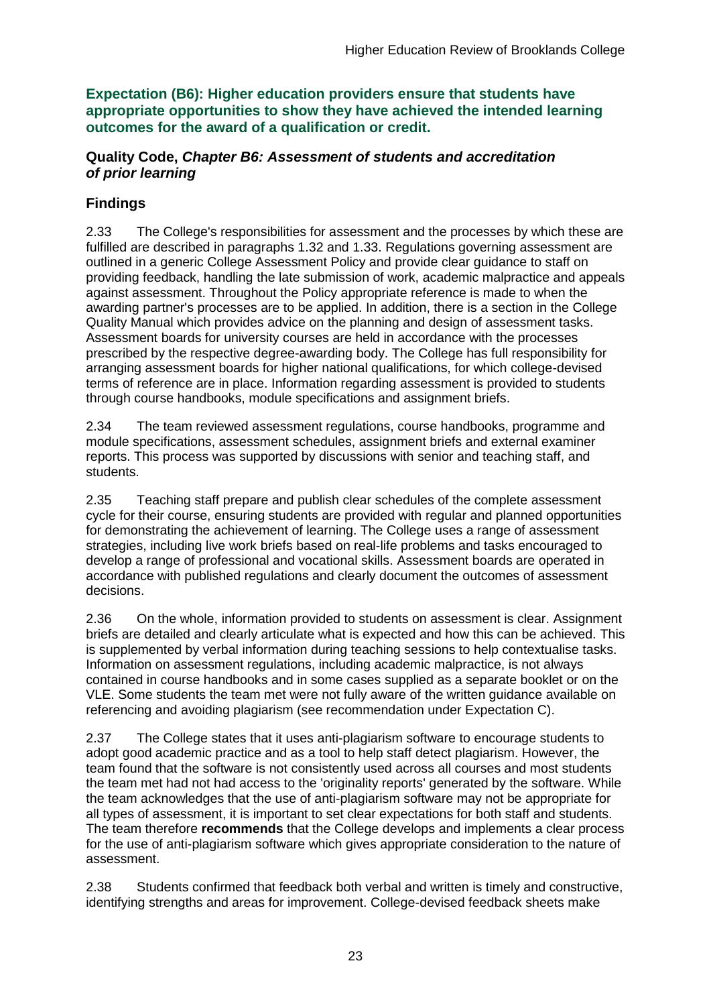**Expectation (B6): Higher education providers ensure that students have appropriate opportunities to show they have achieved the intended learning outcomes for the award of a qualification or credit.**

### **Quality Code,** *Chapter B6: Assessment of students and accreditation of prior learning*

## **Findings**

2.33 The College's responsibilities for assessment and the processes by which these are fulfilled are described in paragraphs 1.32 and 1.33. Regulations governing assessment are outlined in a generic College Assessment Policy and provide clear guidance to staff on providing feedback, handling the late submission of work, academic malpractice and appeals against assessment. Throughout the Policy appropriate reference is made to when the awarding partner's processes are to be applied. In addition, there is a section in the College Quality Manual which provides advice on the planning and design of assessment tasks. Assessment boards for university courses are held in accordance with the processes prescribed by the respective degree-awarding body. The College has full responsibility for arranging assessment boards for higher national qualifications, for which college-devised terms of reference are in place. Information regarding assessment is provided to students through course handbooks, module specifications and assignment briefs.

2.34 The team reviewed assessment regulations, course handbooks, programme and module specifications, assessment schedules, assignment briefs and external examiner reports. This process was supported by discussions with senior and teaching staff, and students.

2.35 Teaching staff prepare and publish clear schedules of the complete assessment cycle for their course, ensuring students are provided with regular and planned opportunities for demonstrating the achievement of learning. The College uses a range of assessment strategies, including live work briefs based on real-life problems and tasks encouraged to develop a range of professional and vocational skills. Assessment boards are operated in accordance with published regulations and clearly document the outcomes of assessment decisions.

2.36 On the whole, information provided to students on assessment is clear. Assignment briefs are detailed and clearly articulate what is expected and how this can be achieved. This is supplemented by verbal information during teaching sessions to help contextualise tasks. Information on assessment regulations, including academic malpractice, is not always contained in course handbooks and in some cases supplied as a separate booklet or on the VLE. Some students the team met were not fully aware of the written guidance available on referencing and avoiding plagiarism (see recommendation under Expectation C).

2.37 The College states that it uses anti-plagiarism software to encourage students to adopt good academic practice and as a tool to help staff detect plagiarism. However, the team found that the software is not consistently used across all courses and most students the team met had not had access to the 'originality reports' generated by the software. While the team acknowledges that the use of anti-plagiarism software may not be appropriate for all types of assessment, it is important to set clear expectations for both staff and students. The team therefore **recommends** that the College develops and implements a clear process for the use of anti-plagiarism software which gives appropriate consideration to the nature of assessment.

2.38 Students confirmed that feedback both verbal and written is timely and constructive, identifying strengths and areas for improvement. College-devised feedback sheets make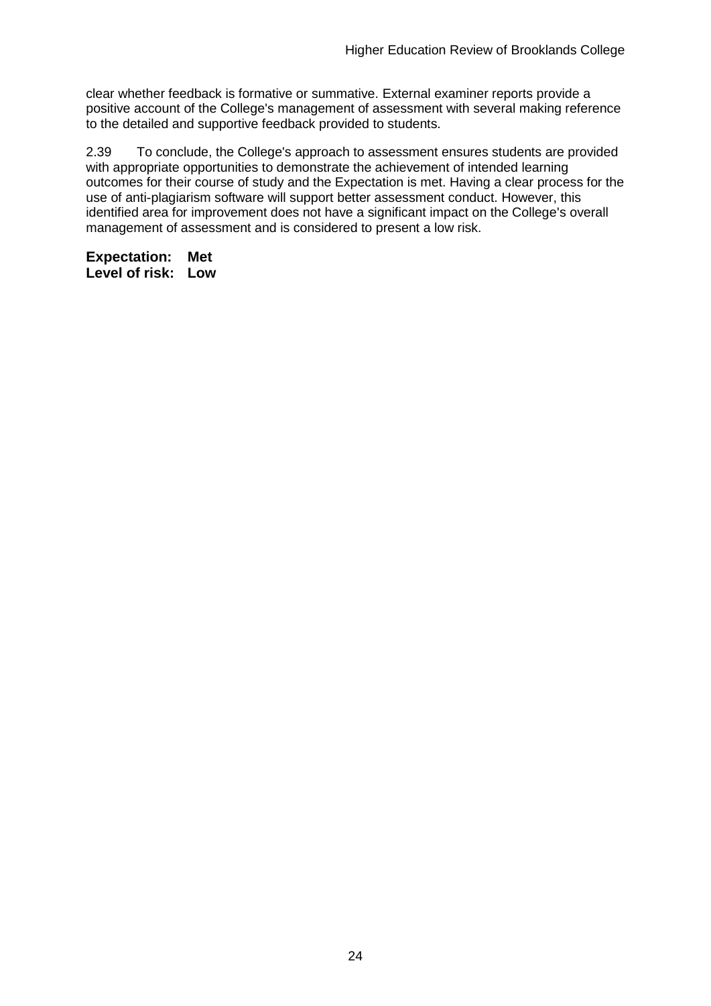clear whether feedback is formative or summative. External examiner reports provide a positive account of the College's management of assessment with several making reference to the detailed and supportive feedback provided to students.

2.39 To conclude, the College's approach to assessment ensures students are provided with appropriate opportunities to demonstrate the achievement of intended learning outcomes for their course of study and the Expectation is met. Having a clear process for the use of anti-plagiarism software will support better assessment conduct. However, this identified area for improvement does not have a significant impact on the College's overall management of assessment and is considered to present a low risk.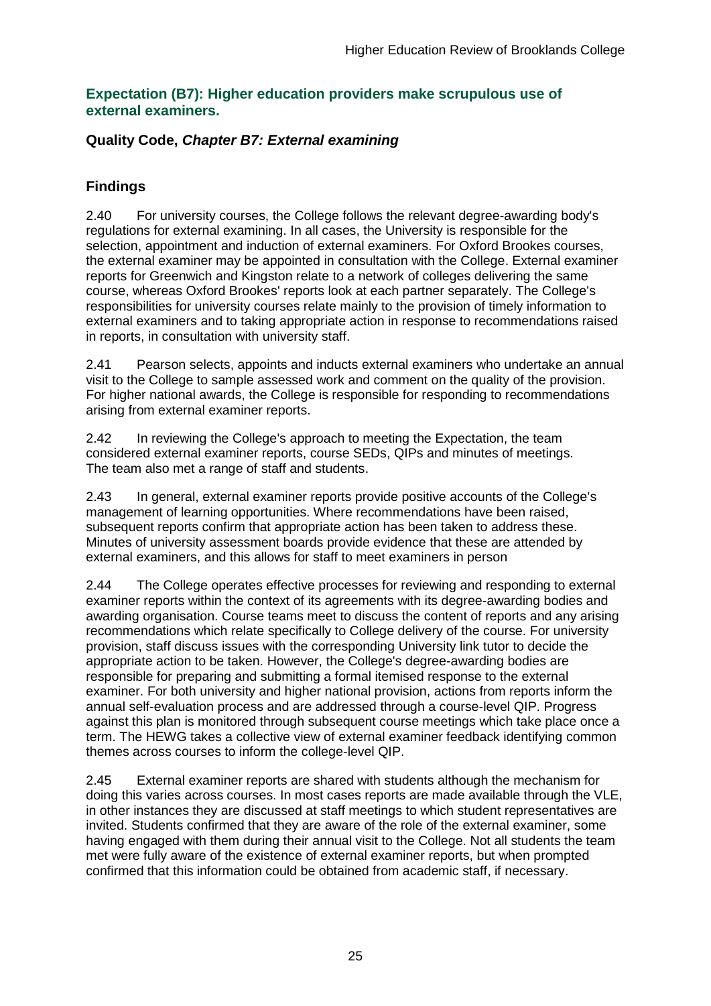#### **Expectation (B7): Higher education providers make scrupulous use of external examiners.**

### **Quality Code,** *Chapter B7: External examining*

## **Findings**

2.40 For university courses, the College follows the relevant degree-awarding body's regulations for external examining. In all cases, the University is responsible for the selection, appointment and induction of external examiners. For Oxford Brookes courses, the external examiner may be appointed in consultation with the College. External examiner reports for Greenwich and Kingston relate to a network of colleges delivering the same course, whereas Oxford Brookes' reports look at each partner separately. The College's responsibilities for university courses relate mainly to the provision of timely information to external examiners and to taking appropriate action in response to recommendations raised in reports, in consultation with university staff.

2.41 Pearson selects, appoints and inducts external examiners who undertake an annual visit to the College to sample assessed work and comment on the quality of the provision. For higher national awards, the College is responsible for responding to recommendations arising from external examiner reports.

2.42 In reviewing the College's approach to meeting the Expectation, the team considered external examiner reports, course SEDs, QIPs and minutes of meetings. The team also met a range of staff and students.

2.43 In general, external examiner reports provide positive accounts of the College's management of learning opportunities. Where recommendations have been raised, subsequent reports confirm that appropriate action has been taken to address these. Minutes of university assessment boards provide evidence that these are attended by external examiners, and this allows for staff to meet examiners in person

2.44 The College operates effective processes for reviewing and responding to external examiner reports within the context of its agreements with its degree-awarding bodies and awarding organisation. Course teams meet to discuss the content of reports and any arising recommendations which relate specifically to College delivery of the course. For university provision, staff discuss issues with the corresponding University link tutor to decide the appropriate action to be taken. However, the College's degree-awarding bodies are responsible for preparing and submitting a formal itemised response to the external examiner. For both university and higher national provision, actions from reports inform the annual self-evaluation process and are addressed through a course-level QIP. Progress against this plan is monitored through subsequent course meetings which take place once a term. The HEWG takes a collective view of external examiner feedback identifying common themes across courses to inform the college-level QIP.

2.45 External examiner reports are shared with students although the mechanism for doing this varies across courses. In most cases reports are made available through the VLE, in other instances they are discussed at staff meetings to which student representatives are invited. Students confirmed that they are aware of the role of the external examiner, some having engaged with them during their annual visit to the College. Not all students the team met were fully aware of the existence of external examiner reports, but when prompted confirmed that this information could be obtained from academic staff, if necessary.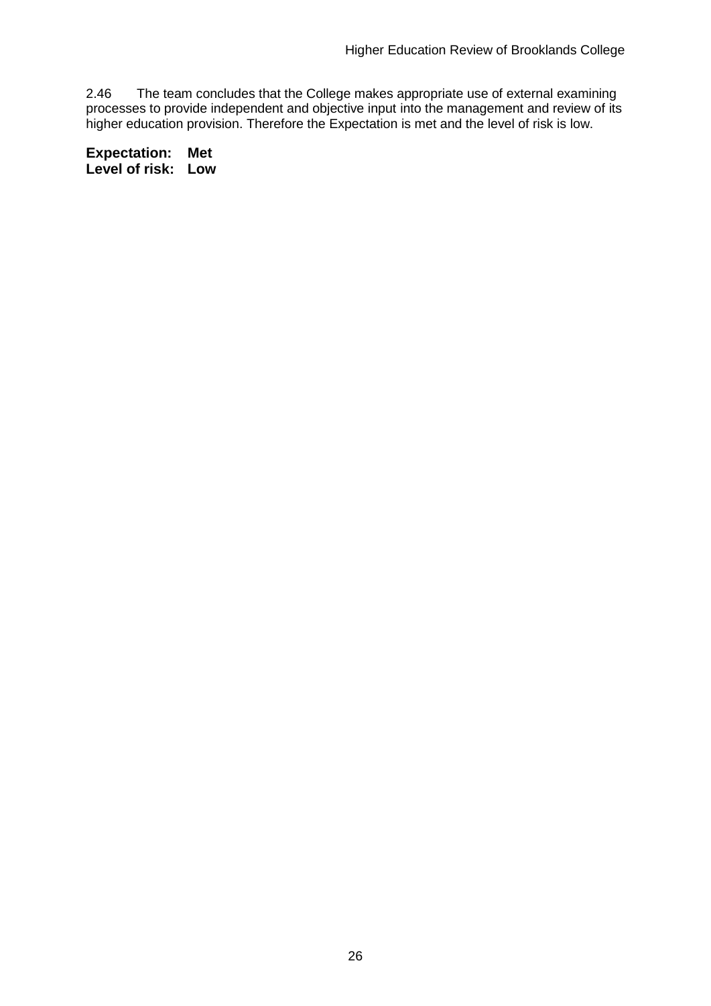2.46 The team concludes that the College makes appropriate use of external examining processes to provide independent and objective input into the management and review of its higher education provision. Therefore the Expectation is met and the level of risk is low.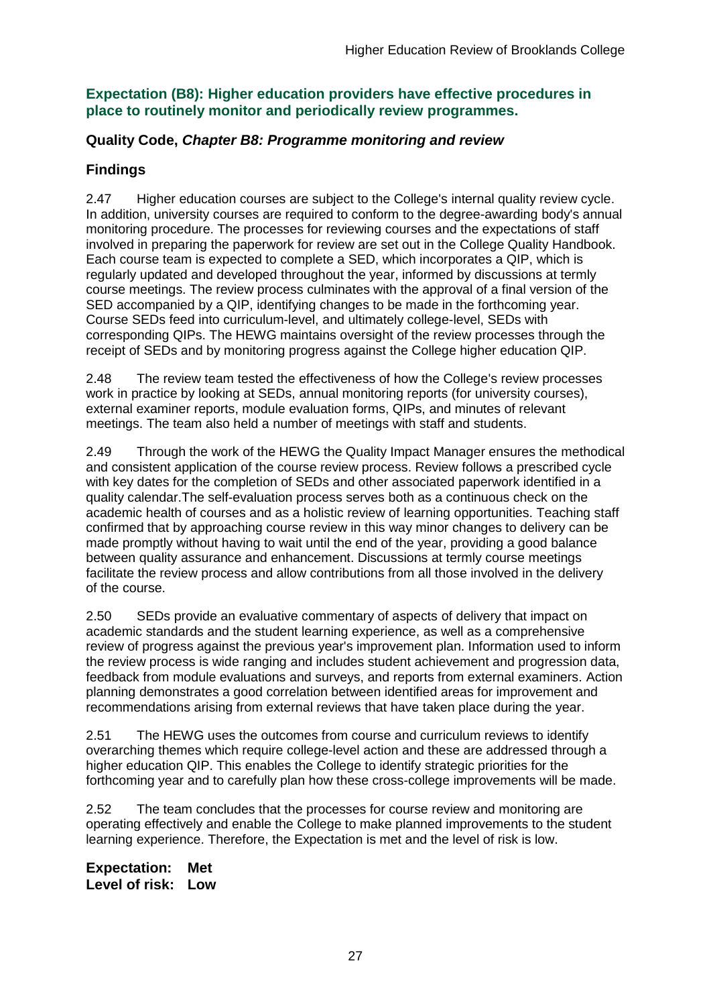### **Expectation (B8): Higher education providers have effective procedures in place to routinely monitor and periodically review programmes.**

### **Quality Code,** *Chapter B8: Programme monitoring and review*

### **Findings**

2.47 Higher education courses are subject to the College's internal quality review cycle. In addition, university courses are required to conform to the degree-awarding body's annual monitoring procedure. The processes for reviewing courses and the expectations of staff involved in preparing the paperwork for review are set out in the College Quality Handbook. Each course team is expected to complete a SED, which incorporates a QIP, which is regularly updated and developed throughout the year, informed by discussions at termly course meetings. The review process culminates with the approval of a final version of the SED accompanied by a QIP, identifying changes to be made in the forthcoming year. Course SEDs feed into curriculum-level, and ultimately college-level, SEDs with corresponding QIPs. The HEWG maintains oversight of the review processes through the receipt of SEDs and by monitoring progress against the College higher education QIP.

2.48 The review team tested the effectiveness of how the College's review processes work in practice by looking at SEDs, annual monitoring reports (for university courses), external examiner reports, module evaluation forms, QIPs, and minutes of relevant meetings. The team also held a number of meetings with staff and students.

2.49 Through the work of the HEWG the Quality Impact Manager ensures the methodical and consistent application of the course review process. Review follows a prescribed cycle with key dates for the completion of SEDs and other associated paperwork identified in a quality calendar.The self-evaluation process serves both as a continuous check on the academic health of courses and as a holistic review of learning opportunities. Teaching staff confirmed that by approaching course review in this way minor changes to delivery can be made promptly without having to wait until the end of the year, providing a good balance between quality assurance and enhancement. Discussions at termly course meetings facilitate the review process and allow contributions from all those involved in the delivery of the course.

2.50 SEDs provide an evaluative commentary of aspects of delivery that impact on academic standards and the student learning experience, as well as a comprehensive review of progress against the previous year's improvement plan. Information used to inform the review process is wide ranging and includes student achievement and progression data, feedback from module evaluations and surveys, and reports from external examiners. Action planning demonstrates a good correlation between identified areas for improvement and recommendations arising from external reviews that have taken place during the year.

2.51 The HEWG uses the outcomes from course and curriculum reviews to identify overarching themes which require college-level action and these are addressed through a higher education QIP. This enables the College to identify strategic priorities for the forthcoming year and to carefully plan how these cross-college improvements will be made.

2.52 The team concludes that the processes for course review and monitoring are operating effectively and enable the College to make planned improvements to the student learning experience. Therefore, the Expectation is met and the level of risk is low.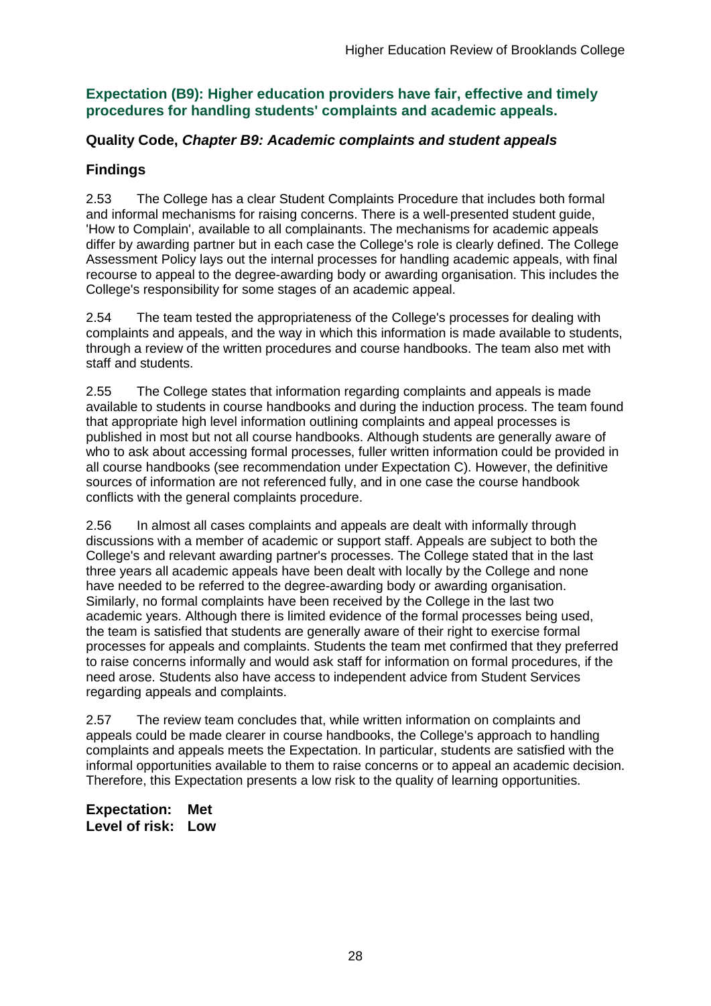### **Expectation (B9): Higher education providers have fair, effective and timely procedures for handling students' complaints and academic appeals.**

#### **Quality Code,** *Chapter B9: Academic complaints and student appeals*

### **Findings**

2.53 The College has a clear Student Complaints Procedure that includes both formal and informal mechanisms for raising concerns. There is a well-presented student guide, 'How to Complain', available to all complainants. The mechanisms for academic appeals differ by awarding partner but in each case the College's role is clearly defined. The College Assessment Policy lays out the internal processes for handling academic appeals, with final recourse to appeal to the degree-awarding body or awarding organisation. This includes the College's responsibility for some stages of an academic appeal.

2.54 The team tested the appropriateness of the College's processes for dealing with complaints and appeals, and the way in which this information is made available to students, through a review of the written procedures and course handbooks. The team also met with staff and students.

2.55 The College states that information regarding complaints and appeals is made available to students in course handbooks and during the induction process. The team found that appropriate high level information outlining complaints and appeal processes is published in most but not all course handbooks. Although students are generally aware of who to ask about accessing formal processes, fuller written information could be provided in all course handbooks (see recommendation under Expectation C). However, the definitive sources of information are not referenced fully, and in one case the course handbook conflicts with the general complaints procedure.

2.56 In almost all cases complaints and appeals are dealt with informally through discussions with a member of academic or support staff. Appeals are subject to both the College's and relevant awarding partner's processes. The College stated that in the last three years all academic appeals have been dealt with locally by the College and none have needed to be referred to the degree-awarding body or awarding organisation. Similarly, no formal complaints have been received by the College in the last two academic years. Although there is limited evidence of the formal processes being used, the team is satisfied that students are generally aware of their right to exercise formal processes for appeals and complaints. Students the team met confirmed that they preferred to raise concerns informally and would ask staff for information on formal procedures, if the need arose. Students also have access to independent advice from Student Services regarding appeals and complaints.

2.57 The review team concludes that, while written information on complaints and appeals could be made clearer in course handbooks, the College's approach to handling complaints and appeals meets the Expectation. In particular, students are satisfied with the informal opportunities available to them to raise concerns or to appeal an academic decision. Therefore, this Expectation presents a low risk to the quality of learning opportunities.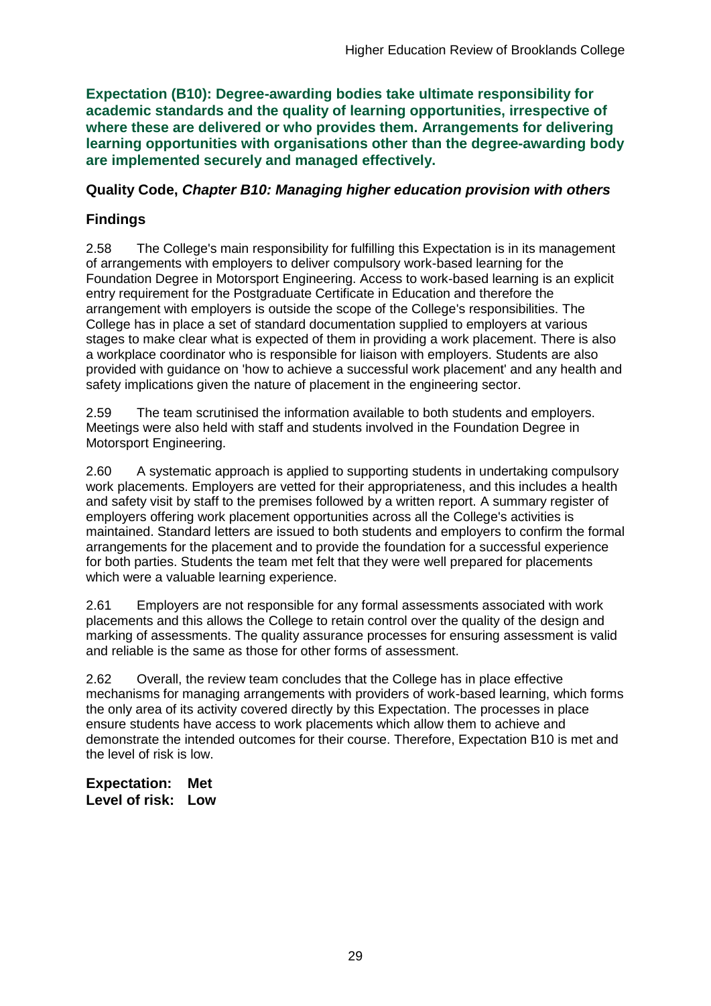**Expectation (B10): Degree-awarding bodies take ultimate responsibility for academic standards and the quality of learning opportunities, irrespective of where these are delivered or who provides them. Arrangements for delivering learning opportunities with organisations other than the degree-awarding body are implemented securely and managed effectively.**

### **Quality Code,** *Chapter B10: Managing higher education provision with others*

## **Findings**

2.58 The College's main responsibility for fulfilling this Expectation is in its management of arrangements with employers to deliver compulsory work-based learning for the Foundation Degree in Motorsport Engineering. Access to work-based learning is an explicit entry requirement for the Postgraduate Certificate in Education and therefore the arrangement with employers is outside the scope of the College's responsibilities. The College has in place a set of standard documentation supplied to employers at various stages to make clear what is expected of them in providing a work placement. There is also a workplace coordinator who is responsible for liaison with employers. Students are also provided with guidance on 'how to achieve a successful work placement' and any health and safety implications given the nature of placement in the engineering sector.

2.59 The team scrutinised the information available to both students and employers. Meetings were also held with staff and students involved in the Foundation Degree in Motorsport Engineering.

2.60 A systematic approach is applied to supporting students in undertaking compulsory work placements. Employers are vetted for their appropriateness, and this includes a health and safety visit by staff to the premises followed by a written report. A summary register of employers offering work placement opportunities across all the College's activities is maintained. Standard letters are issued to both students and employers to confirm the formal arrangements for the placement and to provide the foundation for a successful experience for both parties. Students the team met felt that they were well prepared for placements which were a valuable learning experience.

2.61 Employers are not responsible for any formal assessments associated with work placements and this allows the College to retain control over the quality of the design and marking of assessments. The quality assurance processes for ensuring assessment is valid and reliable is the same as those for other forms of assessment.

2.62 Overall, the review team concludes that the College has in place effective mechanisms for managing arrangements with providers of work-based learning, which forms the only area of its activity covered directly by this Expectation. The processes in place ensure students have access to work placements which allow them to achieve and demonstrate the intended outcomes for their course. Therefore, Expectation B10 is met and the level of risk is low.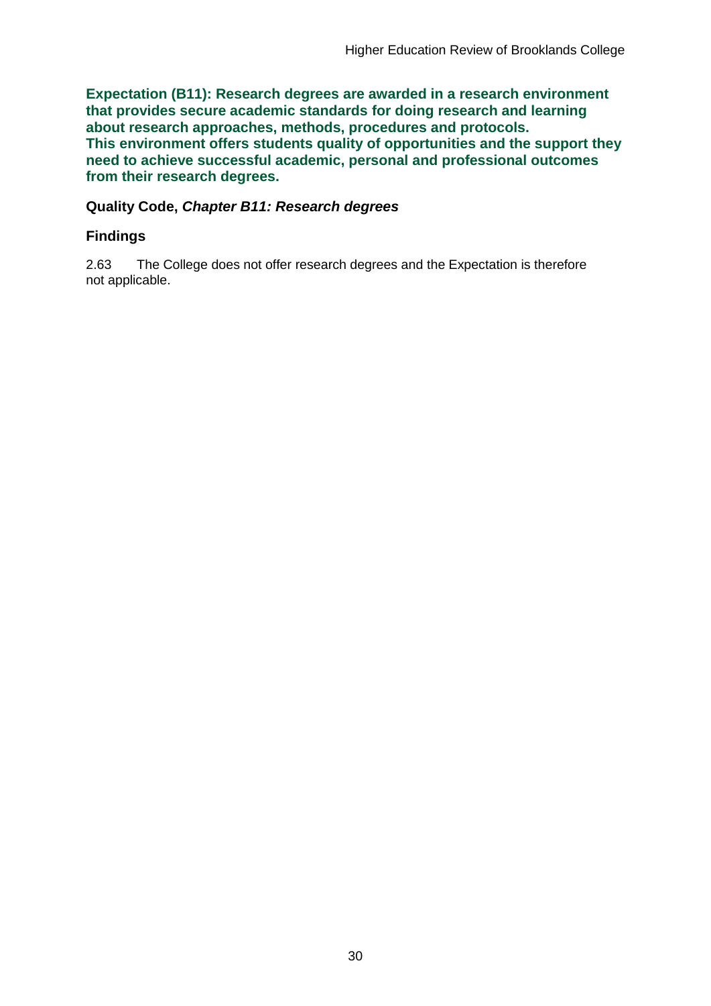**Expectation (B11): Research degrees are awarded in a research environment that provides secure academic standards for doing research and learning about research approaches, methods, procedures and protocols. This environment offers students quality of opportunities and the support they need to achieve successful academic, personal and professional outcomes from their research degrees.**

#### **Quality Code,** *Chapter B11: Research degrees*

### **Findings**

2.63 The College does not offer research degrees and the Expectation is therefore not applicable.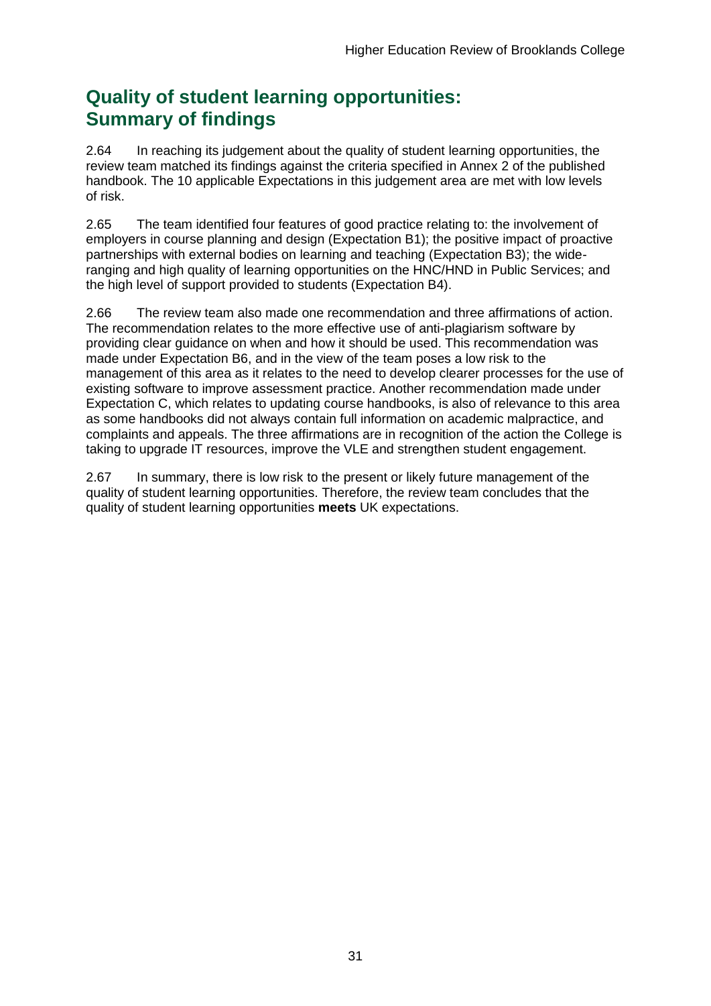## **Quality of student learning opportunities: Summary of findings**

2.64 In reaching its judgement about the quality of student learning opportunities, the review team matched its findings against the criteria specified in Annex 2 of the published handbook. The 10 applicable Expectations in this judgement area are met with low levels of risk.

2.65 The team identified four features of good practice relating to: the involvement of employers in course planning and design (Expectation B1); the positive impact of proactive partnerships with external bodies on learning and teaching (Expectation B3); the wideranging and high quality of learning opportunities on the HNC/HND in Public Services; and the high level of support provided to students (Expectation B4).

2.66 The review team also made one recommendation and three affirmations of action. The recommendation relates to the more effective use of anti-plagiarism software by providing clear guidance on when and how it should be used. This recommendation was made under Expectation B6, and in the view of the team poses a low risk to the management of this area as it relates to the need to develop clearer processes for the use of existing software to improve assessment practice. Another recommendation made under Expectation C, which relates to updating course handbooks, is also of relevance to this area as some handbooks did not always contain full information on academic malpractice, and complaints and appeals. The three affirmations are in recognition of the action the College is taking to upgrade IT resources, improve the VLE and strengthen student engagement.

2.67 In summary, there is low risk to the present or likely future management of the quality of student learning opportunities. Therefore, the review team concludes that the quality of student learning opportunities **meets** UK expectations.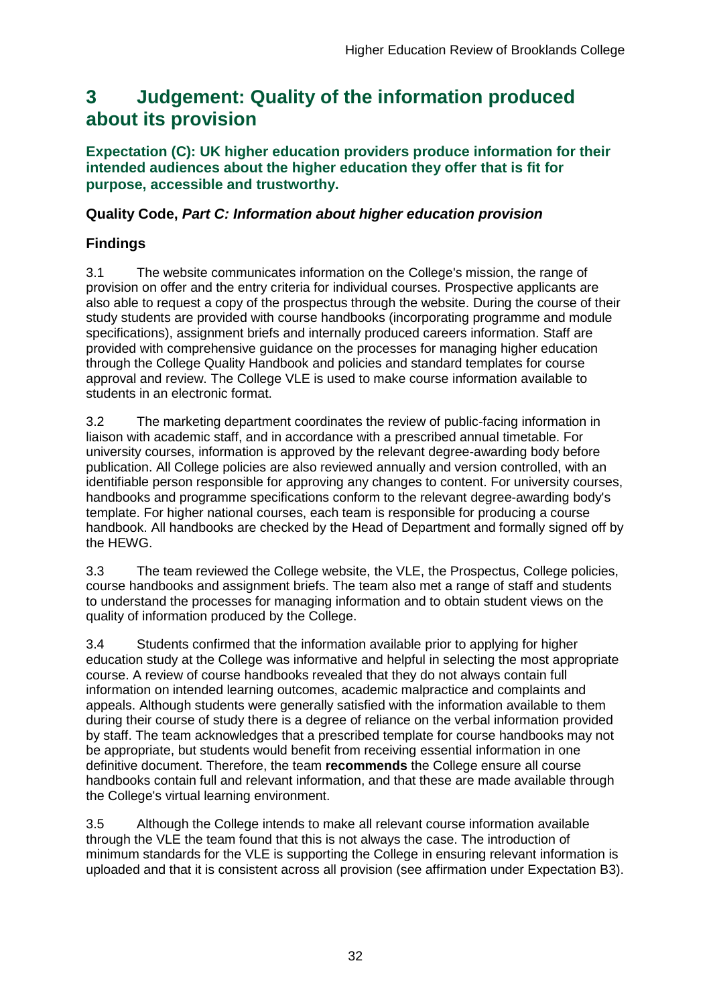## <span id="page-32-0"></span>**3 Judgement: Quality of the information produced about its provision**

#### **Expectation (C): UK higher education providers produce information for their intended audiences about the higher education they offer that is fit for purpose, accessible and trustworthy.**

### **Quality Code,** *Part C: Information about higher education provision*

## **Findings**

3.1 The website communicates information on the College's mission, the range of provision on offer and the entry criteria for individual courses. Prospective applicants are also able to request a copy of the prospectus through the website. During the course of their study students are provided with course handbooks (incorporating programme and module specifications), assignment briefs and internally produced careers information. Staff are provided with comprehensive guidance on the processes for managing higher education through the College Quality Handbook and policies and standard templates for course approval and review. The College VLE is used to make course information available to students in an electronic format.

3.2 The marketing department coordinates the review of public-facing information in liaison with academic staff, and in accordance with a prescribed annual timetable. For university courses, information is approved by the relevant degree-awarding body before publication. All College policies are also reviewed annually and version controlled, with an identifiable person responsible for approving any changes to content. For university courses, handbooks and programme specifications conform to the relevant degree-awarding body's template. For higher national courses, each team is responsible for producing a course handbook. All handbooks are checked by the Head of Department and formally signed off by the HEWG.

3.3 The team reviewed the College website, the VLE, the Prospectus, College policies, course handbooks and assignment briefs. The team also met a range of staff and students to understand the processes for managing information and to obtain student views on the quality of information produced by the College.

3.4 Students confirmed that the information available prior to applying for higher education study at the College was informative and helpful in selecting the most appropriate course. A review of course handbooks revealed that they do not always contain full information on intended learning outcomes, academic malpractice and complaints and appeals. Although students were generally satisfied with the information available to them during their course of study there is a degree of reliance on the verbal information provided by staff. The team acknowledges that a prescribed template for course handbooks may not be appropriate, but students would benefit from receiving essential information in one definitive document. Therefore, the team **recommends** the College ensure all course handbooks contain full and relevant information, and that these are made available through the College's virtual learning environment.

3.5 Although the College intends to make all relevant course information available through the VLE the team found that this is not always the case. The introduction of minimum standards for the VLE is supporting the College in ensuring relevant information is uploaded and that it is consistent across all provision (see affirmation under Expectation B3).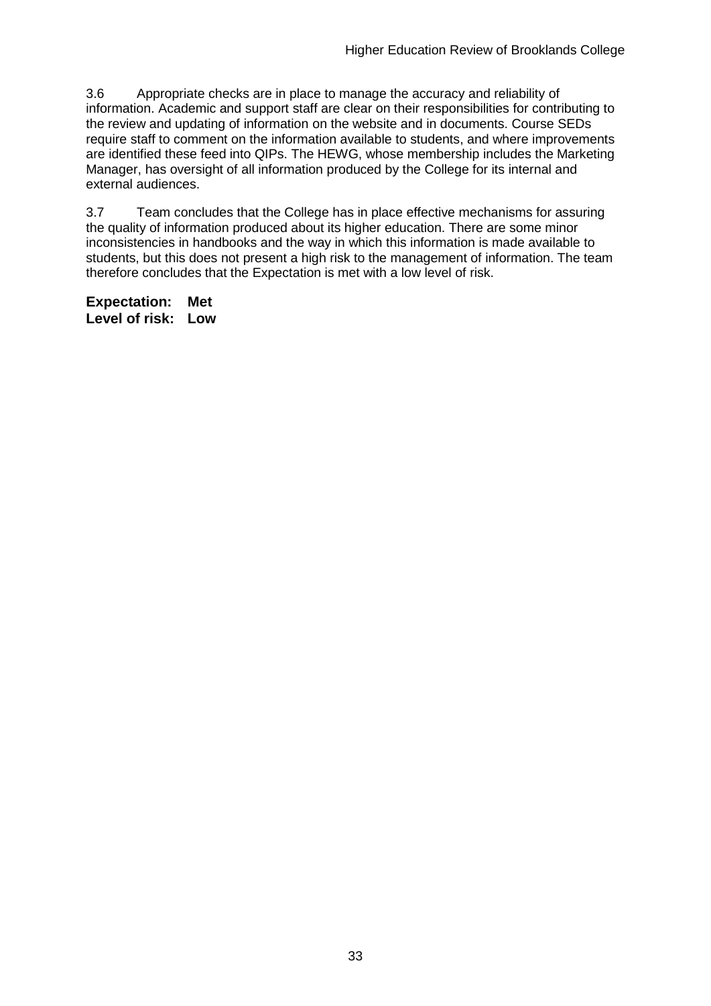3.6 Appropriate checks are in place to manage the accuracy and reliability of information. Academic and support staff are clear on their responsibilities for contributing to the review and updating of information on the website and in documents. Course SEDs require staff to comment on the information available to students, and where improvements are identified these feed into QIPs. The HEWG, whose membership includes the Marketing Manager, has oversight of all information produced by the College for its internal and external audiences.

3.7 Team concludes that the College has in place effective mechanisms for assuring the quality of information produced about its higher education. There are some minor inconsistencies in handbooks and the way in which this information is made available to students, but this does not present a high risk to the management of information. The team therefore concludes that the Expectation is met with a low level of risk.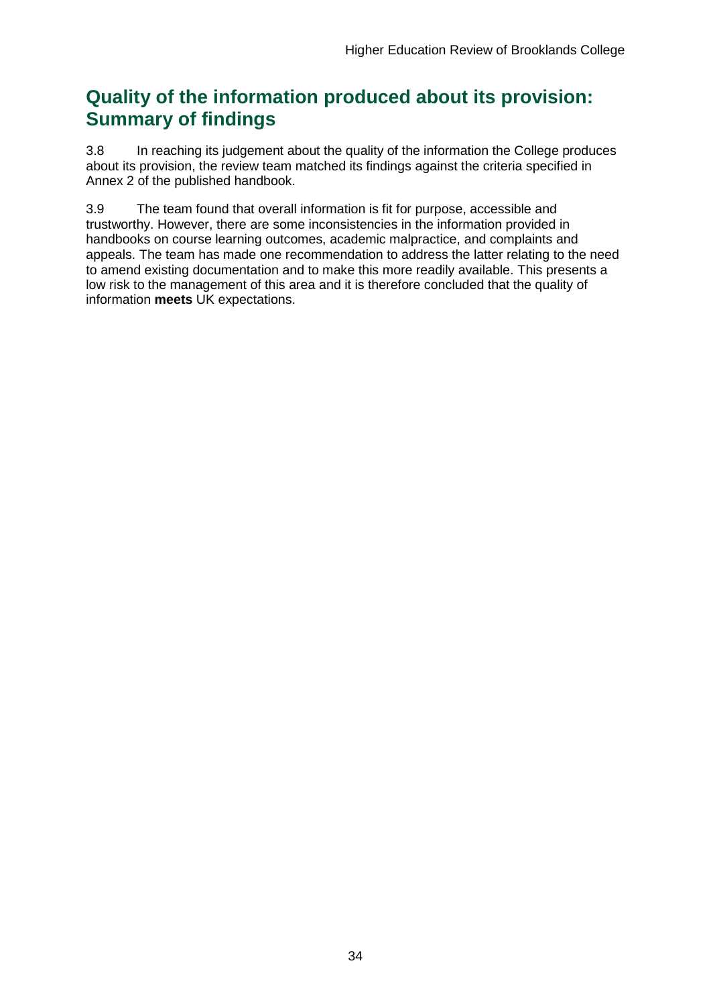## **Quality of the information produced about its provision: Summary of findings**

3.8 In reaching its judgement about the quality of the information the College produces about its provision, the review team matched its findings against the criteria specified in Annex 2 of the published handbook.

3.9 The team found that overall information is fit for purpose, accessible and trustworthy. However, there are some inconsistencies in the information provided in handbooks on course learning outcomes, academic malpractice, and complaints and appeals. The team has made one recommendation to address the latter relating to the need to amend existing documentation and to make this more readily available. This presents a low risk to the management of this area and it is therefore concluded that the quality of information **meets** UK expectations.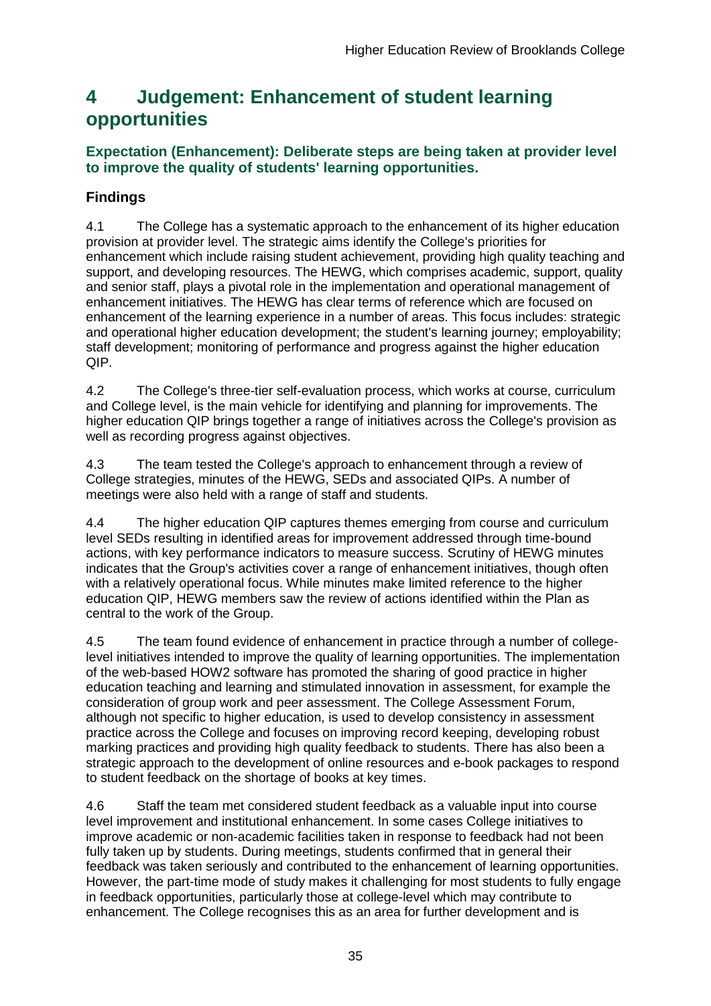## <span id="page-35-0"></span>**4 Judgement: Enhancement of student learning opportunities**

## **Expectation (Enhancement): Deliberate steps are being taken at provider level to improve the quality of students' learning opportunities.**

## **Findings**

4.1 The College has a systematic approach to the enhancement of its higher education provision at provider level. The strategic aims identify the College's priorities for enhancement which include raising student achievement, providing high quality teaching and support, and developing resources. The HEWG, which comprises academic, support, quality and senior staff, plays a pivotal role in the implementation and operational management of enhancement initiatives. The HEWG has clear terms of reference which are focused on enhancement of the learning experience in a number of areas. This focus includes: strategic and operational higher education development; the student's learning journey; employability; staff development; monitoring of performance and progress against the higher education QIP.

4.2 The College's three-tier self-evaluation process, which works at course, curriculum and College level, is the main vehicle for identifying and planning for improvements. The higher education QIP brings together a range of initiatives across the College's provision as well as recording progress against objectives.

4.3 The team tested the College's approach to enhancement through a review of College strategies, minutes of the HEWG, SEDs and associated QIPs. A number of meetings were also held with a range of staff and students.

4.4 The higher education QIP captures themes emerging from course and curriculum level SEDs resulting in identified areas for improvement addressed through time-bound actions, with key performance indicators to measure success. Scrutiny of HEWG minutes indicates that the Group's activities cover a range of enhancement initiatives, though often with a relatively operational focus. While minutes make limited reference to the higher education QIP, HEWG members saw the review of actions identified within the Plan as central to the work of the Group.

4.5 The team found evidence of enhancement in practice through a number of collegelevel initiatives intended to improve the quality of learning opportunities. The implementation of the web-based HOW2 software has promoted the sharing of good practice in higher education teaching and learning and stimulated innovation in assessment, for example the consideration of group work and peer assessment. The College Assessment Forum, although not specific to higher education, is used to develop consistency in assessment practice across the College and focuses on improving record keeping, developing robust marking practices and providing high quality feedback to students. There has also been a strategic approach to the development of online resources and e-book packages to respond to student feedback on the shortage of books at key times.

4.6 Staff the team met considered student feedback as a valuable input into course level improvement and institutional enhancement. In some cases College initiatives to improve academic or non-academic facilities taken in response to feedback had not been fully taken up by students. During meetings, students confirmed that in general their feedback was taken seriously and contributed to the enhancement of learning opportunities. However, the part-time mode of study makes it challenging for most students to fully engage in feedback opportunities, particularly those at college-level which may contribute to enhancement. The College recognises this as an area for further development and is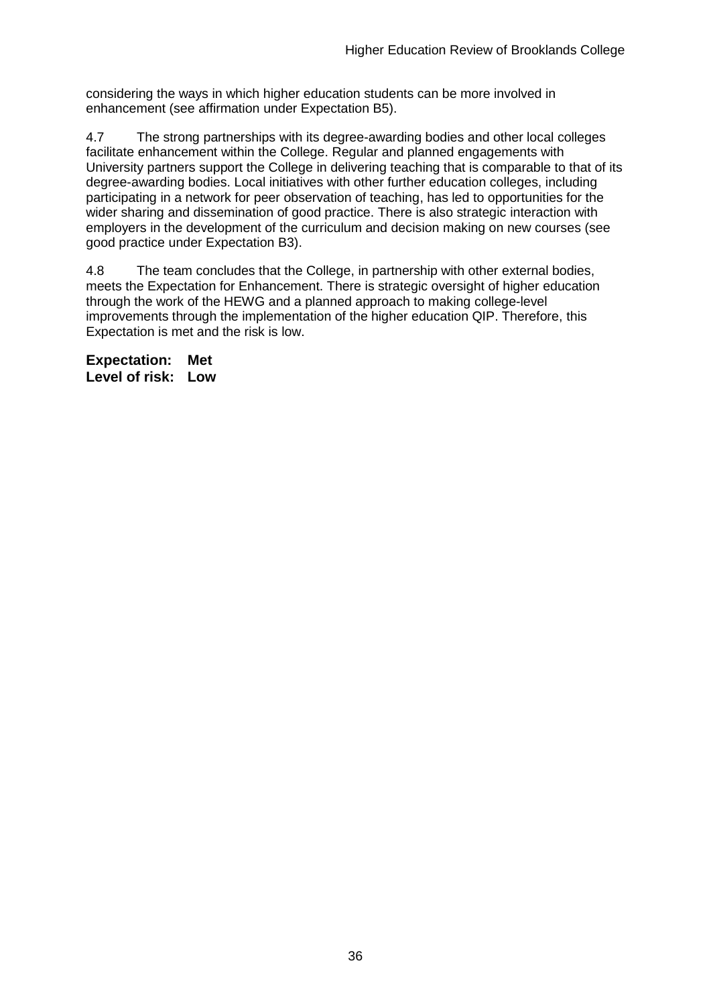considering the ways in which higher education students can be more involved in enhancement (see affirmation under Expectation B5).

4.7 The strong partnerships with its degree-awarding bodies and other local colleges facilitate enhancement within the College. Regular and planned engagements with University partners support the College in delivering teaching that is comparable to that of its degree-awarding bodies. Local initiatives with other further education colleges, including participating in a network for peer observation of teaching, has led to opportunities for the wider sharing and dissemination of good practice. There is also strategic interaction with employers in the development of the curriculum and decision making on new courses (see good practice under Expectation B3).

4.8 The team concludes that the College, in partnership with other external bodies, meets the Expectation for Enhancement. There is strategic oversight of higher education through the work of the HEWG and a planned approach to making college-level improvements through the implementation of the higher education QIP. Therefore, this Expectation is met and the risk is low.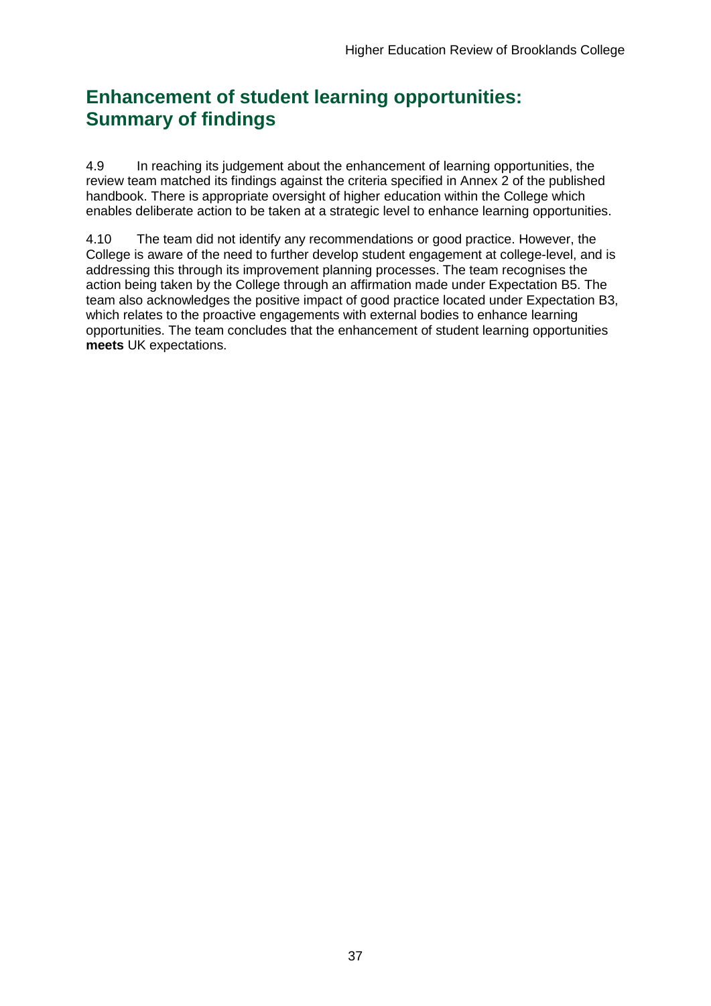## **Enhancement of student learning opportunities: Summary of findings**

4.9 In reaching its judgement about the enhancement of learning opportunities, the review team matched its findings against the criteria specified in Annex 2 of the published handbook. There is appropriate oversight of higher education within the College which enables deliberate action to be taken at a strategic level to enhance learning opportunities.

4.10 The team did not identify any recommendations or good practice. However, the College is aware of the need to further develop student engagement at college-level, and is addressing this through its improvement planning processes. The team recognises the action being taken by the College through an affirmation made under Expectation B5. The team also acknowledges the positive impact of good practice located under Expectation B3, which relates to the proactive engagements with external bodies to enhance learning opportunities. The team concludes that the enhancement of student learning opportunities **meets** UK expectations.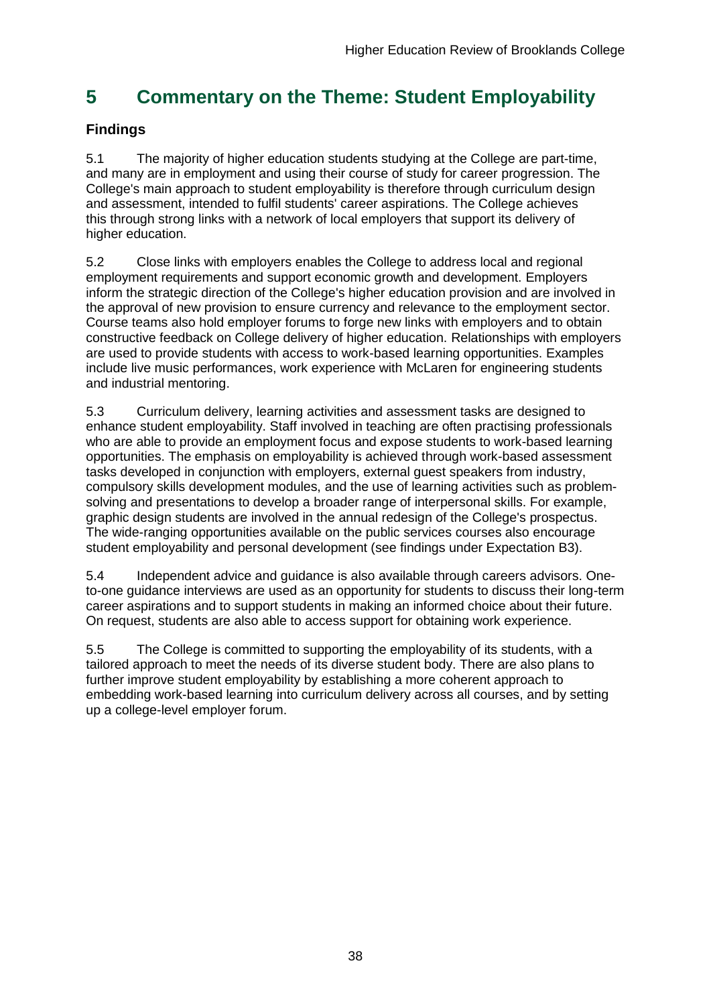## <span id="page-38-0"></span>**5 Commentary on the Theme: Student Employability**

## **Findings**

5.1 The majority of higher education students studying at the College are part-time, and many are in employment and using their course of study for career progression. The College's main approach to student employability is therefore through curriculum design and assessment, intended to fulfil students' career aspirations. The College achieves this through strong links with a network of local employers that support its delivery of higher education.

5.2 Close links with employers enables the College to address local and regional employment requirements and support economic growth and development. Employers inform the strategic direction of the College's higher education provision and are involved in the approval of new provision to ensure currency and relevance to the employment sector. Course teams also hold employer forums to forge new links with employers and to obtain constructive feedback on College delivery of higher education. Relationships with employers are used to provide students with access to work-based learning opportunities. Examples include live music performances, work experience with McLaren for engineering students and industrial mentoring.

5.3 Curriculum delivery, learning activities and assessment tasks are designed to enhance student employability. Staff involved in teaching are often practising professionals who are able to provide an employment focus and expose students to work-based learning opportunities. The emphasis on employability is achieved through work-based assessment tasks developed in conjunction with employers, external guest speakers from industry, compulsory skills development modules, and the use of learning activities such as problemsolving and presentations to develop a broader range of interpersonal skills. For example, graphic design students are involved in the annual redesign of the College's prospectus. The wide-ranging opportunities available on the public services courses also encourage student employability and personal development (see findings under Expectation B3).

5.4 Independent advice and guidance is also available through careers advisors. Oneto-one guidance interviews are used as an opportunity for students to discuss their long-term career aspirations and to support students in making an informed choice about their future. On request, students are also able to access support for obtaining work experience.

5.5 The College is committed to supporting the employability of its students, with a tailored approach to meet the needs of its diverse student body. There are also plans to further improve student employability by establishing a more coherent approach to embedding work-based learning into curriculum delivery across all courses, and by setting up a college-level employer forum.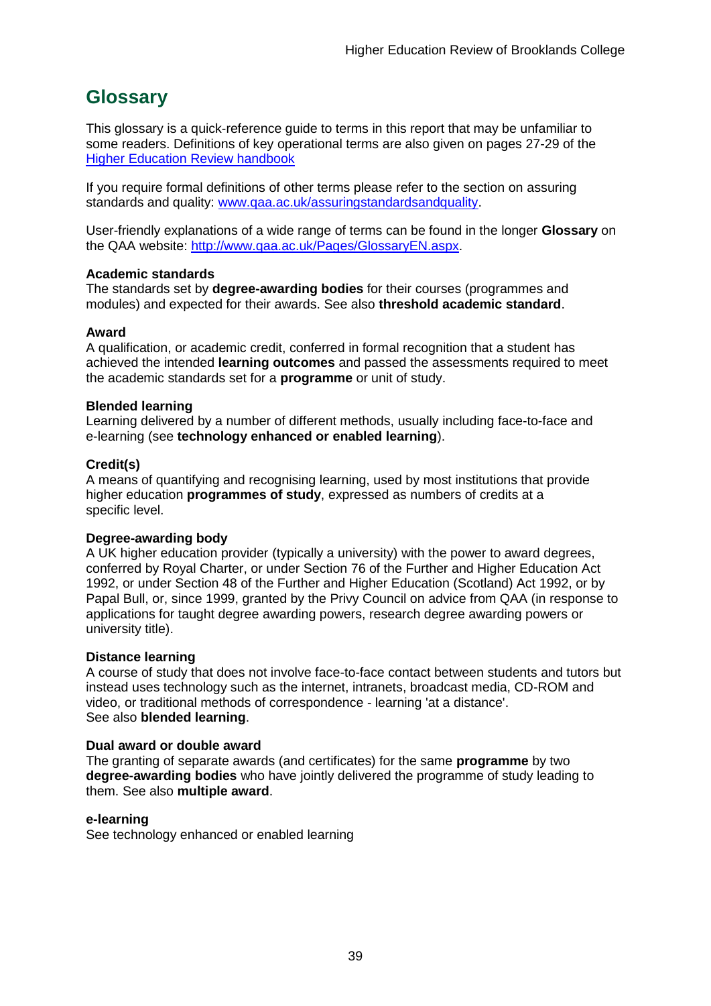## <span id="page-39-0"></span>**Glossary**

This glossary is a quick-reference guide to terms in this report that may be unfamiliar to some readers. Definitions of key operational terms are also given on pages 27-29 of the [Higher Education Review handbook](http://www.qaa.ac.uk/publications/information-and-guidance/publication/?PubID=2672#.VBbte3hwa70)

If you require formal definitions of other terms please refer to the section on assuring standards and quality: [www.qaa.ac.uk/assuringstandardsandquality.](http://www.qaa.ac.uk/assuringstandardsandquality/pages/default.aspx)

User-friendly explanations of a wide range of terms can be found in the longer **Glossary** on the QAA website: [http://www.qaa.ac.uk/Pages/GlossaryEN.aspx.](http://www.qaa.ac.uk/Pages/GlossaryEN.aspx)

#### **Academic standards**

The standards set by **degree-awarding bodies** for their courses (programmes and modules) and expected for their awards. See also **threshold academic standard**.

#### **Award**

A qualification, or academic credit, conferred in formal recognition that a student has achieved the intended **learning outcomes** and passed the assessments required to meet the academic standards set for a **programme** or unit of study.

#### **Blended learning**

Learning delivered by a number of different methods, usually including face-to-face and e-learning (see **[technology enhanced or enabled learning](http://www.qaa.ac.uk/AboutUs/glossary/Pages/glossary-t.aspx#t1)**).

#### **Credit(s)**

A means of quantifying and recognising learning, used by most institutions that provide higher education **programmes of study**, expressed as numbers of credits at a specific level.

#### **Degree-awarding body**

A UK [higher education provider](http://newlive.qaa.ac.uk/AboutUs/glossary/Pages/glossary-h.aspx#h2.1) (typically a [university\)](http://newlive.qaa.ac.uk/AboutUs/glossary/Pages/glossary-u-z.aspx#u4) with the power to award degrees, conferred by Royal Charter, or under Section 76 of the Further and Higher Education Act 1992, or under Section 48 of the Further and Higher Education (Scotland) Act 1992, or by Papal Bull, or, since 1999, granted by the Privy Council on advice from QAA (in response to applications for [taught degree awarding powers, research degree awarding powers or](http://newlive.qaa.ac.uk/AboutUs/DAP/Pages/default.aspx)  [university title\)](http://newlive.qaa.ac.uk/AboutUs/DAP/Pages/default.aspx).

#### **Distance learning**

A course of study that does not involve face-to-face contact between students and tutors but instead uses technology such as the internet, intranets, broadcast media, CD-ROM and video, or traditional methods of correspondence - learning 'at a distance'. See also **blended learning**.

#### **Dual award or double award**

The granting of separate awards (and certificates) for the same **programme** by two **degree-awarding bodies** who have jointly delivered the programme of study leading to them. See also **multiple award**.

#### **e-learning**

See technology enhanced or enabled learning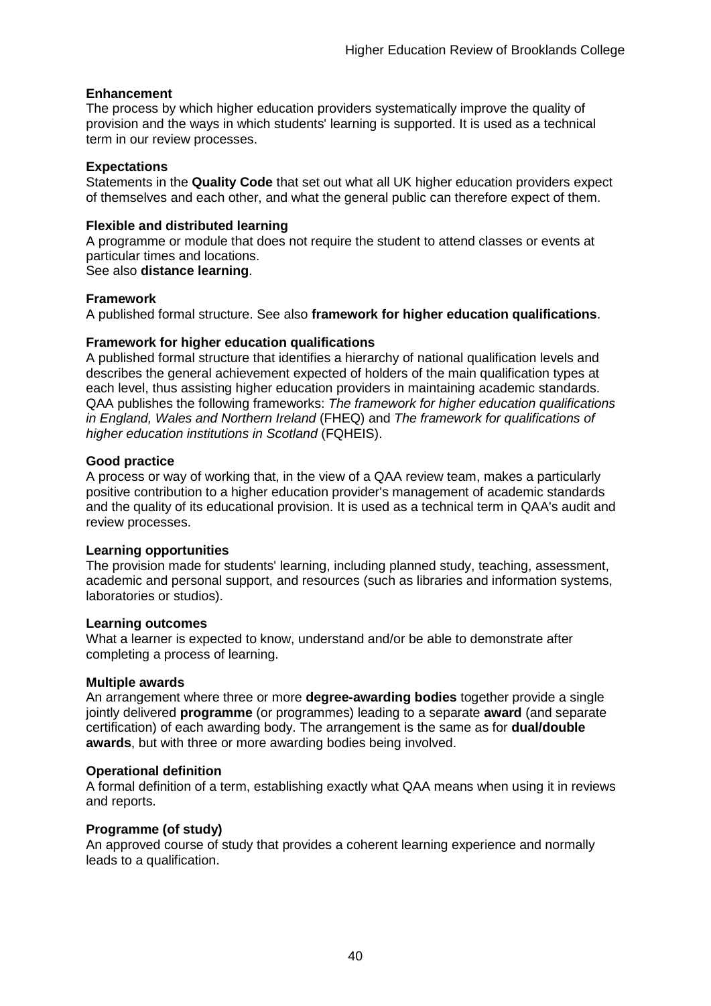#### **Enhancement**

The process by which [higher education providers](http://www.qaa.ac.uk/AboutUs/glossary/Pages/glossary-h.aspx#h2.1) systematically improve the quality of provision and the ways in which students' learning is supported. It is used as a technical term in our review processes.

#### **Expectations**

Statements in the **Quality Code** that set out what all UK [higher education providers](http://newlive.qaa.ac.uk/AboutUs/glossary/Pages/glossary-h.aspx#h2.1) expect of themselves and each other, and what the general public can therefore expect of them.

#### **Flexible and distributed learning**

A [programme](http://newlive.qaa.ac.uk/AboutUs/glossary/Pages/glossary-p.aspx#p12) or [module](http://newlive.qaa.ac.uk/AboutUs/glossary/Pages/glossary-m-o.aspx#m6) that does not require the student to attend classes or events at particular times and locations.

#### See also **distance learning**.

#### **Framework**

A published formal structure. See also **framework for higher education qualifications**.

#### **Framework for higher education qualifications**

A published formal structure that identifies a hierarchy of national qualification levels and describes the general achievement expected of holders of the main qualification types at each level, thus assisting higher education providers in maintaining academic standards. QAA publishes the following frameworks: *The framework for higher education qualifications in England, Wales and Northern Ireland* (FHEQ) and *The framework for qualifications of higher education institutions in Scotland* (FQHEIS).

#### **Good practice**

A process or way of working that, in the view of a QAA review team, makes a particularly positive contribution to a higher education provider's management of academic standards and the quality of its educational provision. It is used as a technical term in QAA's audit and review processes.

#### **Learning opportunities**

The provision made for students' learning, including planned study, teaching, assessment, academic and personal support, and resources (such as libraries and information systems, laboratories or studios).

#### **Learning outcomes**

What a learner is expected to know, understand and/or be able to demonstrate after completing a process of learning.

#### **Multiple awards**

An arrangement where three or more **degree-awarding bodies** together provide a single jointly delivered **programme** (or programmes) leading to a separate **award** (and separate certification) of each awarding body. The arrangement is the same as for **dual/double awards**, but with three or more awarding bodies being involved.

#### **Operational definition**

A formal definition of a term, establishing exactly what QAA means when using it in reviews and reports.

#### **Programme (of study)**

An approved course of study that provides a coherent learning experience and normally leads to a qualification.